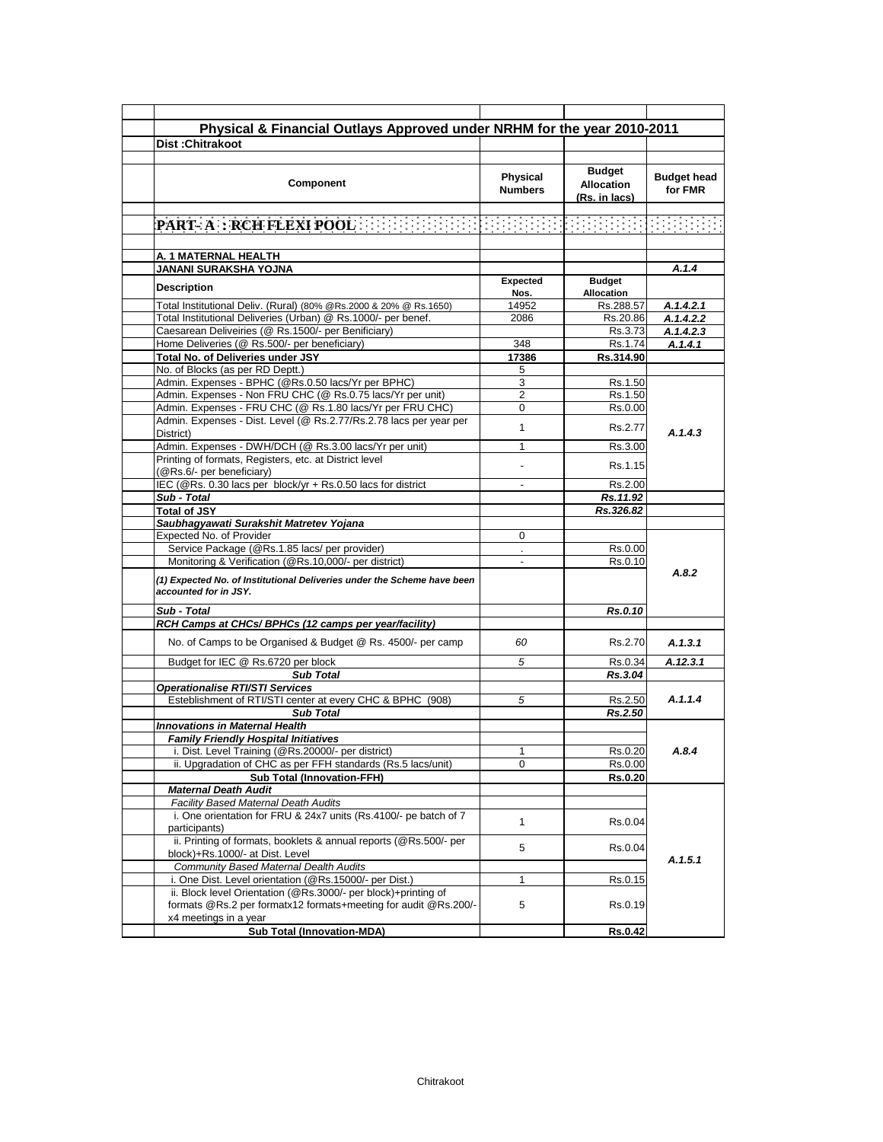| Physical & Financial Outlays Approved under NRHM for the year 2010-2011<br><b>Dist:Chitrakoot</b><br><b>Budget</b><br><b>Budget head</b><br><b>Physical</b><br>Component<br><b>Allocation</b><br>for FMR<br><b>Numbers</b><br>(Rs. in lacs)<br>A. 1 MATERNAL HEALTH<br>JANANI SURAKSHA YOJNA<br>A.1.4<br><b>Expected</b><br><b>Budget</b><br>Description<br><b>Allocation</b><br>Nos.<br>Total Institutional Deliv. (Rural) (80% @Rs.2000 & 20% @ Rs.1650)<br>14952<br>Rs.288.57<br>A.1.4.2.1<br>Total Institutional Deliveries (Urban) @ Rs.1000/- per benef.<br>2086<br>A.1.4.2.2<br>Rs.20.86<br>Caesarean Deliveiries (@ Rs.1500/- per Benificiary)<br>Rs.3.73<br>A.1.4.2.3<br>Home Deliveries (@ Rs.500/- per beneficiary)<br>348<br>Rs.1.74<br>A.1.4.1<br>Total No. of Deliveries under JSY<br>17386<br>Rs.314.90<br>No. of Blocks (as per RD Deptt.)<br>5<br>Admin. Expenses - BPHC (@Rs.0.50 lacs/Yr per BPHC)<br>3<br>Rs.1.50<br>Admin. Expenses - Non FRU CHC (@ Rs.0.75 lacs/Yr per unit)<br>$\overline{2}$<br>Rs.1.50<br>Admin. Expenses - FRU CHC (@ Rs.1.80 lacs/Yr per FRU CHC)<br>0<br>Rs.0.00<br>Admin. Expenses - Dist. Level (@ Rs.2.77/Rs.2.78 lacs per year per<br>1<br>Rs.2.77<br>A.1.4.3<br>District)<br>Admin. Expenses - DWH/DCH (@ Rs.3.00 lacs/Yr per unit)<br>1<br>Rs.3.00<br>Printing of formats, Registers, etc. at District level<br>Rs.1.15<br>(@Rs.6/- per beneficiary)<br>IEC (@Rs. 0.30 lacs per block/yr + Rs.0.50 lacs for district<br>Rs.2.00<br>Sub - Total<br>Rs.11.92<br><b>Total of JSY</b><br>Rs.326.82<br>Saubhagyawati Surakshit Matretev Yojana<br>Expected No. of Provider<br>0<br>Service Package (@Rs.1.85 lacs/ per provider)<br>Rs.0.00<br>$\mathcal{L}^{\mathcal{L}}$<br>Monitoring & Verification (@Rs.10,000/- per district)<br>Rs.0.10<br>A.8.2<br>(1) Expected No. of Institutional Deliveries under the Scheme have been<br>accounted for in JSY.<br>Sub - Total<br>Rs.0.10<br>RCH Camps at CHCs/ BPHCs (12 camps per year/facility)<br>No. of Camps to be Organised & Budget @ Rs. 4500/- per camp<br>60<br>Rs.2.70<br>A.1.3.1<br>Budget for IEC @ Rs.6720 per block<br>5<br>Rs.0.34<br>A.12.3.1<br>Rs.3.04<br><b>Sub Total</b><br><b>Operationalise RTI/STI Services</b><br>Esteblishment of RTI/STI center at every CHC & BPHC (908)<br>A.1.1.4<br>5<br>Rs.2.50<br>Rs.2.50<br><b>Sub Total</b><br><b>Innovations in Maternal Health</b><br><b>Family Friendly Hospital Initiatives</b><br>i. Dist. Level Training (@Rs.20000/- per district)<br>1<br>Rs.0.20<br>A.8.4<br>0<br>ii. Upgradation of CHC as per FFH standards (Rs.5 lacs/unit)<br>Rs.0.00<br><b>Sub Total (Innovation-FFH)</b><br>Rs.0.20<br><b>Maternal Death Audit</b><br><b>Facility Based Maternal Death Audits</b><br>i. One orientation for FRU & 24x7 units (Rs.4100/- pe batch of 7<br>$\mathbf{1}$<br>Rs.0.04<br>participants)<br>ii. Printing of formats, booklets & annual reports (@Rs.500/- per<br>5<br>Rs.0.04<br>block)+Rs.1000/- at Dist. Level<br>A.1.5.1<br><b>Community Based Maternal Dealth Audits</b><br>i. One Dist. Level orientation (@Rs.15000/- per Dist.)<br>Rs.0.15<br>1<br>ii. Block level Orientation (@Rs.3000/- per block)+printing of<br>formats @Rs.2 per formatx12 formats+meeting for audit @Rs.200/-<br>5<br>Rs.0.19<br>x4 meetings in a year<br><b>Sub Total (Innovation-MDA)</b><br>Rs.0.42 |  |  |  |
|------------------------------------------------------------------------------------------------------------------------------------------------------------------------------------------------------------------------------------------------------------------------------------------------------------------------------------------------------------------------------------------------------------------------------------------------------------------------------------------------------------------------------------------------------------------------------------------------------------------------------------------------------------------------------------------------------------------------------------------------------------------------------------------------------------------------------------------------------------------------------------------------------------------------------------------------------------------------------------------------------------------------------------------------------------------------------------------------------------------------------------------------------------------------------------------------------------------------------------------------------------------------------------------------------------------------------------------------------------------------------------------------------------------------------------------------------------------------------------------------------------------------------------------------------------------------------------------------------------------------------------------------------------------------------------------------------------------------------------------------------------------------------------------------------------------------------------------------------------------------------------------------------------------------------------------------------------------------------------------------------------------------------------------------------------------------------------------------------------------------------------------------------------------------------------------------------------------------------------------------------------------------------------------------------------------------------------------------------------------------------------------------------------------------------------------------------------------------------------------------------------------------------------------------------------------------------------------------------------------------------------------------------------------------------------------------------------------------------------------------------------------------------------------------------------------------------------------------------------------------------------------------------------------------------------------------------------------------------------------------------------------------------------------------------------------------------------------------------------------------------------------------------------------------------------------------------------------------------------------------------------------------------------------------------------------------------------------------------------|--|--|--|
|                                                                                                                                                                                                                                                                                                                                                                                                                                                                                                                                                                                                                                                                                                                                                                                                                                                                                                                                                                                                                                                                                                                                                                                                                                                                                                                                                                                                                                                                                                                                                                                                                                                                                                                                                                                                                                                                                                                                                                                                                                                                                                                                                                                                                                                                                                                                                                                                                                                                                                                                                                                                                                                                                                                                                                                                                                                                                                                                                                                                                                                                                                                                                                                                                                                                                                                                                            |  |  |  |
|                                                                                                                                                                                                                                                                                                                                                                                                                                                                                                                                                                                                                                                                                                                                                                                                                                                                                                                                                                                                                                                                                                                                                                                                                                                                                                                                                                                                                                                                                                                                                                                                                                                                                                                                                                                                                                                                                                                                                                                                                                                                                                                                                                                                                                                                                                                                                                                                                                                                                                                                                                                                                                                                                                                                                                                                                                                                                                                                                                                                                                                                                                                                                                                                                                                                                                                                                            |  |  |  |
|                                                                                                                                                                                                                                                                                                                                                                                                                                                                                                                                                                                                                                                                                                                                                                                                                                                                                                                                                                                                                                                                                                                                                                                                                                                                                                                                                                                                                                                                                                                                                                                                                                                                                                                                                                                                                                                                                                                                                                                                                                                                                                                                                                                                                                                                                                                                                                                                                                                                                                                                                                                                                                                                                                                                                                                                                                                                                                                                                                                                                                                                                                                                                                                                                                                                                                                                                            |  |  |  |
|                                                                                                                                                                                                                                                                                                                                                                                                                                                                                                                                                                                                                                                                                                                                                                                                                                                                                                                                                                                                                                                                                                                                                                                                                                                                                                                                                                                                                                                                                                                                                                                                                                                                                                                                                                                                                                                                                                                                                                                                                                                                                                                                                                                                                                                                                                                                                                                                                                                                                                                                                                                                                                                                                                                                                                                                                                                                                                                                                                                                                                                                                                                                                                                                                                                                                                                                                            |  |  |  |
|                                                                                                                                                                                                                                                                                                                                                                                                                                                                                                                                                                                                                                                                                                                                                                                                                                                                                                                                                                                                                                                                                                                                                                                                                                                                                                                                                                                                                                                                                                                                                                                                                                                                                                                                                                                                                                                                                                                                                                                                                                                                                                                                                                                                                                                                                                                                                                                                                                                                                                                                                                                                                                                                                                                                                                                                                                                                                                                                                                                                                                                                                                                                                                                                                                                                                                                                                            |  |  |  |
|                                                                                                                                                                                                                                                                                                                                                                                                                                                                                                                                                                                                                                                                                                                                                                                                                                                                                                                                                                                                                                                                                                                                                                                                                                                                                                                                                                                                                                                                                                                                                                                                                                                                                                                                                                                                                                                                                                                                                                                                                                                                                                                                                                                                                                                                                                                                                                                                                                                                                                                                                                                                                                                                                                                                                                                                                                                                                                                                                                                                                                                                                                                                                                                                                                                                                                                                                            |  |  |  |
|                                                                                                                                                                                                                                                                                                                                                                                                                                                                                                                                                                                                                                                                                                                                                                                                                                                                                                                                                                                                                                                                                                                                                                                                                                                                                                                                                                                                                                                                                                                                                                                                                                                                                                                                                                                                                                                                                                                                                                                                                                                                                                                                                                                                                                                                                                                                                                                                                                                                                                                                                                                                                                                                                                                                                                                                                                                                                                                                                                                                                                                                                                                                                                                                                                                                                                                                                            |  |  |  |
|                                                                                                                                                                                                                                                                                                                                                                                                                                                                                                                                                                                                                                                                                                                                                                                                                                                                                                                                                                                                                                                                                                                                                                                                                                                                                                                                                                                                                                                                                                                                                                                                                                                                                                                                                                                                                                                                                                                                                                                                                                                                                                                                                                                                                                                                                                                                                                                                                                                                                                                                                                                                                                                                                                                                                                                                                                                                                                                                                                                                                                                                                                                                                                                                                                                                                                                                                            |  |  |  |
|                                                                                                                                                                                                                                                                                                                                                                                                                                                                                                                                                                                                                                                                                                                                                                                                                                                                                                                                                                                                                                                                                                                                                                                                                                                                                                                                                                                                                                                                                                                                                                                                                                                                                                                                                                                                                                                                                                                                                                                                                                                                                                                                                                                                                                                                                                                                                                                                                                                                                                                                                                                                                                                                                                                                                                                                                                                                                                                                                                                                                                                                                                                                                                                                                                                                                                                                                            |  |  |  |
|                                                                                                                                                                                                                                                                                                                                                                                                                                                                                                                                                                                                                                                                                                                                                                                                                                                                                                                                                                                                                                                                                                                                                                                                                                                                                                                                                                                                                                                                                                                                                                                                                                                                                                                                                                                                                                                                                                                                                                                                                                                                                                                                                                                                                                                                                                                                                                                                                                                                                                                                                                                                                                                                                                                                                                                                                                                                                                                                                                                                                                                                                                                                                                                                                                                                                                                                                            |  |  |  |
|                                                                                                                                                                                                                                                                                                                                                                                                                                                                                                                                                                                                                                                                                                                                                                                                                                                                                                                                                                                                                                                                                                                                                                                                                                                                                                                                                                                                                                                                                                                                                                                                                                                                                                                                                                                                                                                                                                                                                                                                                                                                                                                                                                                                                                                                                                                                                                                                                                                                                                                                                                                                                                                                                                                                                                                                                                                                                                                                                                                                                                                                                                                                                                                                                                                                                                                                                            |  |  |  |
|                                                                                                                                                                                                                                                                                                                                                                                                                                                                                                                                                                                                                                                                                                                                                                                                                                                                                                                                                                                                                                                                                                                                                                                                                                                                                                                                                                                                                                                                                                                                                                                                                                                                                                                                                                                                                                                                                                                                                                                                                                                                                                                                                                                                                                                                                                                                                                                                                                                                                                                                                                                                                                                                                                                                                                                                                                                                                                                                                                                                                                                                                                                                                                                                                                                                                                                                                            |  |  |  |
|                                                                                                                                                                                                                                                                                                                                                                                                                                                                                                                                                                                                                                                                                                                                                                                                                                                                                                                                                                                                                                                                                                                                                                                                                                                                                                                                                                                                                                                                                                                                                                                                                                                                                                                                                                                                                                                                                                                                                                                                                                                                                                                                                                                                                                                                                                                                                                                                                                                                                                                                                                                                                                                                                                                                                                                                                                                                                                                                                                                                                                                                                                                                                                                                                                                                                                                                                            |  |  |  |
|                                                                                                                                                                                                                                                                                                                                                                                                                                                                                                                                                                                                                                                                                                                                                                                                                                                                                                                                                                                                                                                                                                                                                                                                                                                                                                                                                                                                                                                                                                                                                                                                                                                                                                                                                                                                                                                                                                                                                                                                                                                                                                                                                                                                                                                                                                                                                                                                                                                                                                                                                                                                                                                                                                                                                                                                                                                                                                                                                                                                                                                                                                                                                                                                                                                                                                                                                            |  |  |  |
|                                                                                                                                                                                                                                                                                                                                                                                                                                                                                                                                                                                                                                                                                                                                                                                                                                                                                                                                                                                                                                                                                                                                                                                                                                                                                                                                                                                                                                                                                                                                                                                                                                                                                                                                                                                                                                                                                                                                                                                                                                                                                                                                                                                                                                                                                                                                                                                                                                                                                                                                                                                                                                                                                                                                                                                                                                                                                                                                                                                                                                                                                                                                                                                                                                                                                                                                                            |  |  |  |
|                                                                                                                                                                                                                                                                                                                                                                                                                                                                                                                                                                                                                                                                                                                                                                                                                                                                                                                                                                                                                                                                                                                                                                                                                                                                                                                                                                                                                                                                                                                                                                                                                                                                                                                                                                                                                                                                                                                                                                                                                                                                                                                                                                                                                                                                                                                                                                                                                                                                                                                                                                                                                                                                                                                                                                                                                                                                                                                                                                                                                                                                                                                                                                                                                                                                                                                                                            |  |  |  |
|                                                                                                                                                                                                                                                                                                                                                                                                                                                                                                                                                                                                                                                                                                                                                                                                                                                                                                                                                                                                                                                                                                                                                                                                                                                                                                                                                                                                                                                                                                                                                                                                                                                                                                                                                                                                                                                                                                                                                                                                                                                                                                                                                                                                                                                                                                                                                                                                                                                                                                                                                                                                                                                                                                                                                                                                                                                                                                                                                                                                                                                                                                                                                                                                                                                                                                                                                            |  |  |  |
|                                                                                                                                                                                                                                                                                                                                                                                                                                                                                                                                                                                                                                                                                                                                                                                                                                                                                                                                                                                                                                                                                                                                                                                                                                                                                                                                                                                                                                                                                                                                                                                                                                                                                                                                                                                                                                                                                                                                                                                                                                                                                                                                                                                                                                                                                                                                                                                                                                                                                                                                                                                                                                                                                                                                                                                                                                                                                                                                                                                                                                                                                                                                                                                                                                                                                                                                                            |  |  |  |
|                                                                                                                                                                                                                                                                                                                                                                                                                                                                                                                                                                                                                                                                                                                                                                                                                                                                                                                                                                                                                                                                                                                                                                                                                                                                                                                                                                                                                                                                                                                                                                                                                                                                                                                                                                                                                                                                                                                                                                                                                                                                                                                                                                                                                                                                                                                                                                                                                                                                                                                                                                                                                                                                                                                                                                                                                                                                                                                                                                                                                                                                                                                                                                                                                                                                                                                                                            |  |  |  |
|                                                                                                                                                                                                                                                                                                                                                                                                                                                                                                                                                                                                                                                                                                                                                                                                                                                                                                                                                                                                                                                                                                                                                                                                                                                                                                                                                                                                                                                                                                                                                                                                                                                                                                                                                                                                                                                                                                                                                                                                                                                                                                                                                                                                                                                                                                                                                                                                                                                                                                                                                                                                                                                                                                                                                                                                                                                                                                                                                                                                                                                                                                                                                                                                                                                                                                                                                            |  |  |  |
|                                                                                                                                                                                                                                                                                                                                                                                                                                                                                                                                                                                                                                                                                                                                                                                                                                                                                                                                                                                                                                                                                                                                                                                                                                                                                                                                                                                                                                                                                                                                                                                                                                                                                                                                                                                                                                                                                                                                                                                                                                                                                                                                                                                                                                                                                                                                                                                                                                                                                                                                                                                                                                                                                                                                                                                                                                                                                                                                                                                                                                                                                                                                                                                                                                                                                                                                                            |  |  |  |
|                                                                                                                                                                                                                                                                                                                                                                                                                                                                                                                                                                                                                                                                                                                                                                                                                                                                                                                                                                                                                                                                                                                                                                                                                                                                                                                                                                                                                                                                                                                                                                                                                                                                                                                                                                                                                                                                                                                                                                                                                                                                                                                                                                                                                                                                                                                                                                                                                                                                                                                                                                                                                                                                                                                                                                                                                                                                                                                                                                                                                                                                                                                                                                                                                                                                                                                                                            |  |  |  |
|                                                                                                                                                                                                                                                                                                                                                                                                                                                                                                                                                                                                                                                                                                                                                                                                                                                                                                                                                                                                                                                                                                                                                                                                                                                                                                                                                                                                                                                                                                                                                                                                                                                                                                                                                                                                                                                                                                                                                                                                                                                                                                                                                                                                                                                                                                                                                                                                                                                                                                                                                                                                                                                                                                                                                                                                                                                                                                                                                                                                                                                                                                                                                                                                                                                                                                                                                            |  |  |  |
|                                                                                                                                                                                                                                                                                                                                                                                                                                                                                                                                                                                                                                                                                                                                                                                                                                                                                                                                                                                                                                                                                                                                                                                                                                                                                                                                                                                                                                                                                                                                                                                                                                                                                                                                                                                                                                                                                                                                                                                                                                                                                                                                                                                                                                                                                                                                                                                                                                                                                                                                                                                                                                                                                                                                                                                                                                                                                                                                                                                                                                                                                                                                                                                                                                                                                                                                                            |  |  |  |
|                                                                                                                                                                                                                                                                                                                                                                                                                                                                                                                                                                                                                                                                                                                                                                                                                                                                                                                                                                                                                                                                                                                                                                                                                                                                                                                                                                                                                                                                                                                                                                                                                                                                                                                                                                                                                                                                                                                                                                                                                                                                                                                                                                                                                                                                                                                                                                                                                                                                                                                                                                                                                                                                                                                                                                                                                                                                                                                                                                                                                                                                                                                                                                                                                                                                                                                                                            |  |  |  |
|                                                                                                                                                                                                                                                                                                                                                                                                                                                                                                                                                                                                                                                                                                                                                                                                                                                                                                                                                                                                                                                                                                                                                                                                                                                                                                                                                                                                                                                                                                                                                                                                                                                                                                                                                                                                                                                                                                                                                                                                                                                                                                                                                                                                                                                                                                                                                                                                                                                                                                                                                                                                                                                                                                                                                                                                                                                                                                                                                                                                                                                                                                                                                                                                                                                                                                                                                            |  |  |  |
|                                                                                                                                                                                                                                                                                                                                                                                                                                                                                                                                                                                                                                                                                                                                                                                                                                                                                                                                                                                                                                                                                                                                                                                                                                                                                                                                                                                                                                                                                                                                                                                                                                                                                                                                                                                                                                                                                                                                                                                                                                                                                                                                                                                                                                                                                                                                                                                                                                                                                                                                                                                                                                                                                                                                                                                                                                                                                                                                                                                                                                                                                                                                                                                                                                                                                                                                                            |  |  |  |
|                                                                                                                                                                                                                                                                                                                                                                                                                                                                                                                                                                                                                                                                                                                                                                                                                                                                                                                                                                                                                                                                                                                                                                                                                                                                                                                                                                                                                                                                                                                                                                                                                                                                                                                                                                                                                                                                                                                                                                                                                                                                                                                                                                                                                                                                                                                                                                                                                                                                                                                                                                                                                                                                                                                                                                                                                                                                                                                                                                                                                                                                                                                                                                                                                                                                                                                                                            |  |  |  |
|                                                                                                                                                                                                                                                                                                                                                                                                                                                                                                                                                                                                                                                                                                                                                                                                                                                                                                                                                                                                                                                                                                                                                                                                                                                                                                                                                                                                                                                                                                                                                                                                                                                                                                                                                                                                                                                                                                                                                                                                                                                                                                                                                                                                                                                                                                                                                                                                                                                                                                                                                                                                                                                                                                                                                                                                                                                                                                                                                                                                                                                                                                                                                                                                                                                                                                                                                            |  |  |  |
|                                                                                                                                                                                                                                                                                                                                                                                                                                                                                                                                                                                                                                                                                                                                                                                                                                                                                                                                                                                                                                                                                                                                                                                                                                                                                                                                                                                                                                                                                                                                                                                                                                                                                                                                                                                                                                                                                                                                                                                                                                                                                                                                                                                                                                                                                                                                                                                                                                                                                                                                                                                                                                                                                                                                                                                                                                                                                                                                                                                                                                                                                                                                                                                                                                                                                                                                                            |  |  |  |
|                                                                                                                                                                                                                                                                                                                                                                                                                                                                                                                                                                                                                                                                                                                                                                                                                                                                                                                                                                                                                                                                                                                                                                                                                                                                                                                                                                                                                                                                                                                                                                                                                                                                                                                                                                                                                                                                                                                                                                                                                                                                                                                                                                                                                                                                                                                                                                                                                                                                                                                                                                                                                                                                                                                                                                                                                                                                                                                                                                                                                                                                                                                                                                                                                                                                                                                                                            |  |  |  |
|                                                                                                                                                                                                                                                                                                                                                                                                                                                                                                                                                                                                                                                                                                                                                                                                                                                                                                                                                                                                                                                                                                                                                                                                                                                                                                                                                                                                                                                                                                                                                                                                                                                                                                                                                                                                                                                                                                                                                                                                                                                                                                                                                                                                                                                                                                                                                                                                                                                                                                                                                                                                                                                                                                                                                                                                                                                                                                                                                                                                                                                                                                                                                                                                                                                                                                                                                            |  |  |  |
|                                                                                                                                                                                                                                                                                                                                                                                                                                                                                                                                                                                                                                                                                                                                                                                                                                                                                                                                                                                                                                                                                                                                                                                                                                                                                                                                                                                                                                                                                                                                                                                                                                                                                                                                                                                                                                                                                                                                                                                                                                                                                                                                                                                                                                                                                                                                                                                                                                                                                                                                                                                                                                                                                                                                                                                                                                                                                                                                                                                                                                                                                                                                                                                                                                                                                                                                                            |  |  |  |
|                                                                                                                                                                                                                                                                                                                                                                                                                                                                                                                                                                                                                                                                                                                                                                                                                                                                                                                                                                                                                                                                                                                                                                                                                                                                                                                                                                                                                                                                                                                                                                                                                                                                                                                                                                                                                                                                                                                                                                                                                                                                                                                                                                                                                                                                                                                                                                                                                                                                                                                                                                                                                                                                                                                                                                                                                                                                                                                                                                                                                                                                                                                                                                                                                                                                                                                                                            |  |  |  |
|                                                                                                                                                                                                                                                                                                                                                                                                                                                                                                                                                                                                                                                                                                                                                                                                                                                                                                                                                                                                                                                                                                                                                                                                                                                                                                                                                                                                                                                                                                                                                                                                                                                                                                                                                                                                                                                                                                                                                                                                                                                                                                                                                                                                                                                                                                                                                                                                                                                                                                                                                                                                                                                                                                                                                                                                                                                                                                                                                                                                                                                                                                                                                                                                                                                                                                                                                            |  |  |  |
|                                                                                                                                                                                                                                                                                                                                                                                                                                                                                                                                                                                                                                                                                                                                                                                                                                                                                                                                                                                                                                                                                                                                                                                                                                                                                                                                                                                                                                                                                                                                                                                                                                                                                                                                                                                                                                                                                                                                                                                                                                                                                                                                                                                                                                                                                                                                                                                                                                                                                                                                                                                                                                                                                                                                                                                                                                                                                                                                                                                                                                                                                                                                                                                                                                                                                                                                                            |  |  |  |
|                                                                                                                                                                                                                                                                                                                                                                                                                                                                                                                                                                                                                                                                                                                                                                                                                                                                                                                                                                                                                                                                                                                                                                                                                                                                                                                                                                                                                                                                                                                                                                                                                                                                                                                                                                                                                                                                                                                                                                                                                                                                                                                                                                                                                                                                                                                                                                                                                                                                                                                                                                                                                                                                                                                                                                                                                                                                                                                                                                                                                                                                                                                                                                                                                                                                                                                                                            |  |  |  |
|                                                                                                                                                                                                                                                                                                                                                                                                                                                                                                                                                                                                                                                                                                                                                                                                                                                                                                                                                                                                                                                                                                                                                                                                                                                                                                                                                                                                                                                                                                                                                                                                                                                                                                                                                                                                                                                                                                                                                                                                                                                                                                                                                                                                                                                                                                                                                                                                                                                                                                                                                                                                                                                                                                                                                                                                                                                                                                                                                                                                                                                                                                                                                                                                                                                                                                                                                            |  |  |  |
|                                                                                                                                                                                                                                                                                                                                                                                                                                                                                                                                                                                                                                                                                                                                                                                                                                                                                                                                                                                                                                                                                                                                                                                                                                                                                                                                                                                                                                                                                                                                                                                                                                                                                                                                                                                                                                                                                                                                                                                                                                                                                                                                                                                                                                                                                                                                                                                                                                                                                                                                                                                                                                                                                                                                                                                                                                                                                                                                                                                                                                                                                                                                                                                                                                                                                                                                                            |  |  |  |
|                                                                                                                                                                                                                                                                                                                                                                                                                                                                                                                                                                                                                                                                                                                                                                                                                                                                                                                                                                                                                                                                                                                                                                                                                                                                                                                                                                                                                                                                                                                                                                                                                                                                                                                                                                                                                                                                                                                                                                                                                                                                                                                                                                                                                                                                                                                                                                                                                                                                                                                                                                                                                                                                                                                                                                                                                                                                                                                                                                                                                                                                                                                                                                                                                                                                                                                                                            |  |  |  |
|                                                                                                                                                                                                                                                                                                                                                                                                                                                                                                                                                                                                                                                                                                                                                                                                                                                                                                                                                                                                                                                                                                                                                                                                                                                                                                                                                                                                                                                                                                                                                                                                                                                                                                                                                                                                                                                                                                                                                                                                                                                                                                                                                                                                                                                                                                                                                                                                                                                                                                                                                                                                                                                                                                                                                                                                                                                                                                                                                                                                                                                                                                                                                                                                                                                                                                                                                            |  |  |  |
|                                                                                                                                                                                                                                                                                                                                                                                                                                                                                                                                                                                                                                                                                                                                                                                                                                                                                                                                                                                                                                                                                                                                                                                                                                                                                                                                                                                                                                                                                                                                                                                                                                                                                                                                                                                                                                                                                                                                                                                                                                                                                                                                                                                                                                                                                                                                                                                                                                                                                                                                                                                                                                                                                                                                                                                                                                                                                                                                                                                                                                                                                                                                                                                                                                                                                                                                                            |  |  |  |
|                                                                                                                                                                                                                                                                                                                                                                                                                                                                                                                                                                                                                                                                                                                                                                                                                                                                                                                                                                                                                                                                                                                                                                                                                                                                                                                                                                                                                                                                                                                                                                                                                                                                                                                                                                                                                                                                                                                                                                                                                                                                                                                                                                                                                                                                                                                                                                                                                                                                                                                                                                                                                                                                                                                                                                                                                                                                                                                                                                                                                                                                                                                                                                                                                                                                                                                                                            |  |  |  |
|                                                                                                                                                                                                                                                                                                                                                                                                                                                                                                                                                                                                                                                                                                                                                                                                                                                                                                                                                                                                                                                                                                                                                                                                                                                                                                                                                                                                                                                                                                                                                                                                                                                                                                                                                                                                                                                                                                                                                                                                                                                                                                                                                                                                                                                                                                                                                                                                                                                                                                                                                                                                                                                                                                                                                                                                                                                                                                                                                                                                                                                                                                                                                                                                                                                                                                                                                            |  |  |  |
|                                                                                                                                                                                                                                                                                                                                                                                                                                                                                                                                                                                                                                                                                                                                                                                                                                                                                                                                                                                                                                                                                                                                                                                                                                                                                                                                                                                                                                                                                                                                                                                                                                                                                                                                                                                                                                                                                                                                                                                                                                                                                                                                                                                                                                                                                                                                                                                                                                                                                                                                                                                                                                                                                                                                                                                                                                                                                                                                                                                                                                                                                                                                                                                                                                                                                                                                                            |  |  |  |
|                                                                                                                                                                                                                                                                                                                                                                                                                                                                                                                                                                                                                                                                                                                                                                                                                                                                                                                                                                                                                                                                                                                                                                                                                                                                                                                                                                                                                                                                                                                                                                                                                                                                                                                                                                                                                                                                                                                                                                                                                                                                                                                                                                                                                                                                                                                                                                                                                                                                                                                                                                                                                                                                                                                                                                                                                                                                                                                                                                                                                                                                                                                                                                                                                                                                                                                                                            |  |  |  |
|                                                                                                                                                                                                                                                                                                                                                                                                                                                                                                                                                                                                                                                                                                                                                                                                                                                                                                                                                                                                                                                                                                                                                                                                                                                                                                                                                                                                                                                                                                                                                                                                                                                                                                                                                                                                                                                                                                                                                                                                                                                                                                                                                                                                                                                                                                                                                                                                                                                                                                                                                                                                                                                                                                                                                                                                                                                                                                                                                                                                                                                                                                                                                                                                                                                                                                                                                            |  |  |  |
|                                                                                                                                                                                                                                                                                                                                                                                                                                                                                                                                                                                                                                                                                                                                                                                                                                                                                                                                                                                                                                                                                                                                                                                                                                                                                                                                                                                                                                                                                                                                                                                                                                                                                                                                                                                                                                                                                                                                                                                                                                                                                                                                                                                                                                                                                                                                                                                                                                                                                                                                                                                                                                                                                                                                                                                                                                                                                                                                                                                                                                                                                                                                                                                                                                                                                                                                                            |  |  |  |
|                                                                                                                                                                                                                                                                                                                                                                                                                                                                                                                                                                                                                                                                                                                                                                                                                                                                                                                                                                                                                                                                                                                                                                                                                                                                                                                                                                                                                                                                                                                                                                                                                                                                                                                                                                                                                                                                                                                                                                                                                                                                                                                                                                                                                                                                                                                                                                                                                                                                                                                                                                                                                                                                                                                                                                                                                                                                                                                                                                                                                                                                                                                                                                                                                                                                                                                                                            |  |  |  |
|                                                                                                                                                                                                                                                                                                                                                                                                                                                                                                                                                                                                                                                                                                                                                                                                                                                                                                                                                                                                                                                                                                                                                                                                                                                                                                                                                                                                                                                                                                                                                                                                                                                                                                                                                                                                                                                                                                                                                                                                                                                                                                                                                                                                                                                                                                                                                                                                                                                                                                                                                                                                                                                                                                                                                                                                                                                                                                                                                                                                                                                                                                                                                                                                                                                                                                                                                            |  |  |  |
|                                                                                                                                                                                                                                                                                                                                                                                                                                                                                                                                                                                                                                                                                                                                                                                                                                                                                                                                                                                                                                                                                                                                                                                                                                                                                                                                                                                                                                                                                                                                                                                                                                                                                                                                                                                                                                                                                                                                                                                                                                                                                                                                                                                                                                                                                                                                                                                                                                                                                                                                                                                                                                                                                                                                                                                                                                                                                                                                                                                                                                                                                                                                                                                                                                                                                                                                                            |  |  |  |
|                                                                                                                                                                                                                                                                                                                                                                                                                                                                                                                                                                                                                                                                                                                                                                                                                                                                                                                                                                                                                                                                                                                                                                                                                                                                                                                                                                                                                                                                                                                                                                                                                                                                                                                                                                                                                                                                                                                                                                                                                                                                                                                                                                                                                                                                                                                                                                                                                                                                                                                                                                                                                                                                                                                                                                                                                                                                                                                                                                                                                                                                                                                                                                                                                                                                                                                                                            |  |  |  |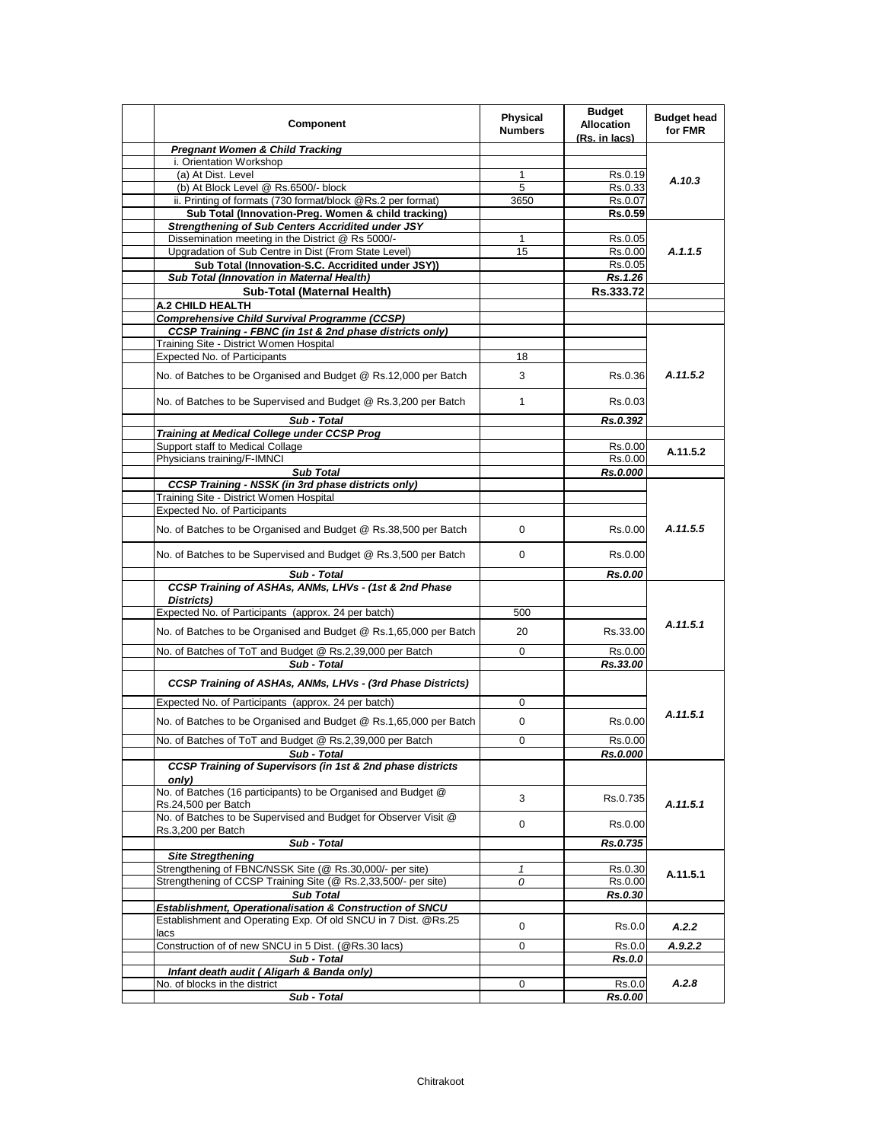| Component                                                                                                     | Physical<br><b>Numbers</b> | <b>Budget</b><br><b>Allocation</b><br>(Rs. in lacs) | <b>Budget head</b><br>for FMR |
|---------------------------------------------------------------------------------------------------------------|----------------------------|-----------------------------------------------------|-------------------------------|
| <b>Pregnant Women &amp; Child Tracking</b>                                                                    |                            |                                                     |                               |
| i. Orientation Workshop                                                                                       |                            |                                                     |                               |
| (a) At Dist. Level                                                                                            | 1                          | Rs.0.19                                             | A.10.3                        |
| (b) At Block Level @ Rs.6500/- block                                                                          | 5                          | Rs.0.33                                             |                               |
| ii. Printing of formats (730 format/block @Rs.2 per format)                                                   | 3650                       | Rs.0.07                                             |                               |
| Sub Total (Innovation-Preg. Women & child tracking)                                                           |                            | Rs.0.59                                             |                               |
| <b>Strengthening of Sub Centers Accridited under JSY</b><br>Dissemination meeting in the District @ Rs 5000/- | 1                          | Rs.0.05                                             |                               |
| Upgradation of Sub Centre in Dist (From State Level)                                                          | 15                         | Rs.0.00                                             | A.1.1.5                       |
| Sub Total (Innovation-S.C. Accridited under JSY))                                                             |                            | Rs.0.05                                             |                               |
| Sub Total (Innovation in Maternal Health)                                                                     |                            | Rs.1.26                                             |                               |
| Sub-Total (Maternal Health)                                                                                   |                            | Rs.333.72                                           |                               |
| <b>A.2 CHILD HEALTH</b>                                                                                       |                            |                                                     |                               |
| <b>Comprehensive Child Survival Programme (CCSP)</b>                                                          |                            |                                                     |                               |
| CCSP Training - FBNC (in 1st & 2nd phase districts only)                                                      |                            |                                                     |                               |
| Training Site - District Women Hospital                                                                       |                            |                                                     |                               |
| Expected No. of Participants                                                                                  | 18                         |                                                     |                               |
|                                                                                                               | 3                          |                                                     | A.11.5.2                      |
| No. of Batches to be Organised and Budget @ Rs.12,000 per Batch                                               |                            | Rs.0.36                                             |                               |
| No. of Batches to be Supervised and Budget @ Rs.3,200 per Batch                                               | $\mathbf{1}$               | Rs.0.03                                             |                               |
| Sub - Total                                                                                                   |                            | Rs.0.392                                            |                               |
| Training at Medical College under CCSP Prog                                                                   |                            |                                                     |                               |
| Support staff to Medical Collage<br>Physicians training/F-IMNCI                                               |                            | Rs.0.00                                             | A.11.5.2                      |
|                                                                                                               |                            | Rs.0.00                                             |                               |
| <b>Sub Total</b><br><b>CCSP Training - NSSK (in 3rd phase districts only)</b>                                 |                            | Rs.0.000                                            |                               |
| Training Site - District Women Hospital                                                                       |                            |                                                     |                               |
| <b>Expected No. of Participants</b>                                                                           |                            |                                                     |                               |
| No. of Batches to be Organised and Budget @ Rs.38,500 per Batch                                               | $\Omega$                   | Rs.0.00                                             | A.11.5.5                      |
| No. of Batches to be Supervised and Budget @ Rs.3,500 per Batch                                               | $\Omega$                   | Rs.0.00                                             |                               |
| Sub - Total                                                                                                   |                            | Rs.0.00                                             |                               |
| CCSP Training of ASHAs, ANMs, LHVs - (1st & 2nd Phase<br>Districts)                                           |                            |                                                     |                               |
| Expected No. of Participants (approx. 24 per batch)                                                           | 500                        |                                                     |                               |
|                                                                                                               | 20                         |                                                     | A.11.5.1                      |
| No. of Batches to be Organised and Budget @ Rs.1,65,000 per Batch                                             |                            | Rs.33.00                                            |                               |
| No. of Batches of ToT and Budget @ Rs.2,39,000 per Batch                                                      | 0                          | Rs.0.00                                             |                               |
| Sub - Total                                                                                                   |                            | Rs.33.00                                            |                               |
| CCSP Training of ASHAs, ANMs, LHVs - (3rd Phase Districts)                                                    |                            |                                                     |                               |
| Expected No. of Participants (approx. 24 per batch)                                                           | 0                          |                                                     | A.11.5.1                      |
| No. of Batches to be Organised and Budget @ Rs.1,65,000 per Batch                                             | 0                          | Rs.0.00                                             |                               |
| No. of Batches of ToT and Budget @ Rs.2,39,000 per Batch                                                      | 0                          | Rs.0.00                                             |                               |
| Sub - Total                                                                                                   |                            | <b>Rs.0.000</b>                                     |                               |
| CCSP Training of Supervisors (in 1st & 2nd phase districts<br>only)                                           |                            |                                                     |                               |
| No. of Batches (16 participants) to be Organised and Budget @<br>Rs.24,500 per Batch                          | 3                          | Rs.0.735                                            | A.11.5.1                      |
| No. of Batches to be Supervised and Budget for Observer Visit @<br>Rs.3,200 per Batch                         | 0                          | Rs.0.00                                             |                               |
| Sub - Total                                                                                                   |                            | Rs.0.735                                            |                               |
| <b>Site Stregthening</b>                                                                                      |                            |                                                     |                               |
| Strengthening of FBNC/NSSK Site (@ Rs.30,000/- per site)                                                      | 1                          | Rs.0.30                                             |                               |
| Strengthening of CCSP Training Site (@ Rs.2,33,500/- per site)                                                | 0                          | Rs.0.00                                             | A.11.5.1                      |
| <b>Sub Total</b>                                                                                              |                            | Rs.0.30                                             |                               |
| Establishment, Operationalisation & Construction of SNCU                                                      |                            |                                                     |                               |
| Establishment and Operating Exp. Of old SNCU in 7 Dist. @Rs.25                                                | 0                          | Rs.0.0                                              | A.2.2                         |
| lacs                                                                                                          |                            |                                                     |                               |
| Construction of of new SNCU in 5 Dist. (@Rs.30 lacs)<br>Sub - Total                                           | 0                          | Rs.0.0<br>Rs.0.0                                    | A.9.2.2                       |
| Infant death audit ( Aligarh & Banda only)                                                                    |                            |                                                     |                               |
| No. of blocks in the district                                                                                 | 0                          | Rs.0.0                                              | A.2.8                         |
| Sub - Total                                                                                                   |                            | Rs.0.00                                             |                               |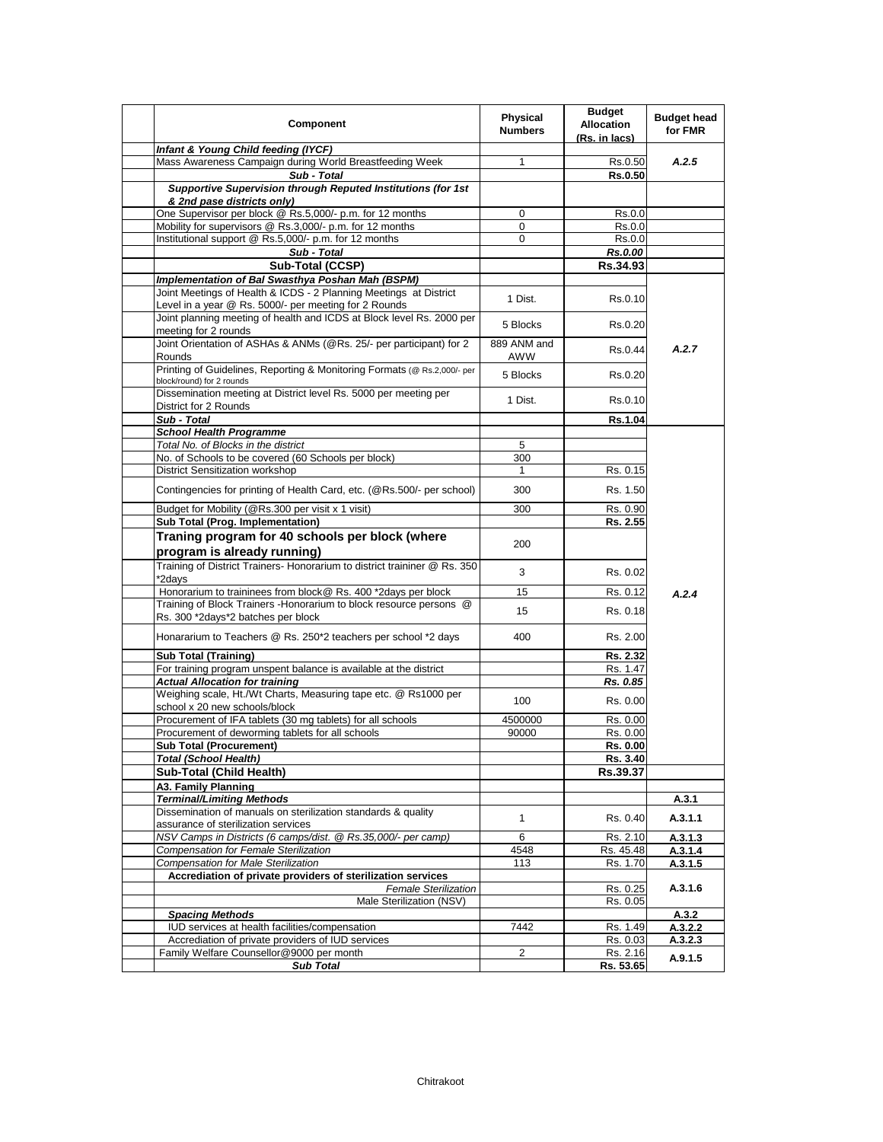| Component                                                                                                                  | <b>Physical</b><br><b>Numbers</b> | <b>Budget</b><br><b>Allocation</b><br>(Rs. in lacs) | <b>Budget head</b><br>for FMR |
|----------------------------------------------------------------------------------------------------------------------------|-----------------------------------|-----------------------------------------------------|-------------------------------|
| Infant & Young Child feeding (IYCF)                                                                                        |                                   |                                                     |                               |
| Mass Awareness Campaign during World Breastfeeding Week                                                                    | 1                                 | Rs.0.50                                             | A.2.5                         |
| Sub - Total                                                                                                                |                                   | <b>Rs.0.50</b>                                      |                               |
| Supportive Supervision through Reputed Institutions (for 1st<br>& 2nd pase districts only)                                 |                                   |                                                     |                               |
| One Supervisor per block @ Rs.5,000/- p.m. for 12 months                                                                   | 0                                 | Rs.0.0                                              |                               |
| Mobility for supervisors @ Rs.3,000/- p.m. for 12 months                                                                   | 0                                 | Rs.0.0                                              |                               |
| Institutional support @ Rs.5,000/- p.m. for 12 months                                                                      | 0                                 | Rs.0.0                                              |                               |
| Sub - Total                                                                                                                |                                   | Rs.0.00                                             |                               |
| Sub-Total (CCSP)                                                                                                           |                                   | Rs.34.93                                            |                               |
| Implementation of Bal Swasthya Poshan Mah (BSPM)                                                                           |                                   |                                                     |                               |
| Joint Meetings of Health & ICDS - 2 Planning Meetings at District<br>Level in a year @ Rs. 5000/- per meeting for 2 Rounds | 1 Dist.                           | Rs.0.10                                             |                               |
| Joint planning meeting of health and ICDS at Block level Rs. 2000 per<br>meeting for 2 rounds                              | 5 Blocks                          | Rs.0.20                                             |                               |
| Joint Orientation of ASHAs & ANMs (@Rs. 25/- per participant) for 2<br>Rounds                                              | 889 ANM and<br>AWW                | Rs.0.44                                             | A.2.7                         |
| Printing of Guidelines, Reporting & Monitoring Formats (@ Rs.2,000/- per<br>block/round) for 2 rounds                      | 5 Blocks                          | Rs.0.20                                             |                               |
| Dissemination meeting at District level Rs. 5000 per meeting per<br>District for 2 Rounds                                  | 1 Dist.                           | Rs.0.10                                             |                               |
| Sub - Total                                                                                                                |                                   | Rs.1.04                                             |                               |
| <b>School Health Programme</b>                                                                                             |                                   |                                                     |                               |
| Total No. of Blocks in the district                                                                                        | 5                                 |                                                     |                               |
| No. of Schools to be covered (60 Schools per block)                                                                        | 300                               |                                                     |                               |
| District Sensitization workshop                                                                                            | 1                                 | Rs. 0.15                                            |                               |
| Contingencies for printing of Health Card, etc. (@Rs.500/- per school)                                                     | 300                               | Rs. 1.50                                            |                               |
| Budget for Mobility (@Rs.300 per visit x 1 visit)                                                                          | 300                               | Rs. 0.90                                            |                               |
| Sub Total (Prog. Implementation)                                                                                           |                                   | Rs. 2.55                                            |                               |
| Traning program for 40 schools per block (where                                                                            |                                   |                                                     |                               |
| program is already running)                                                                                                | 200                               |                                                     |                               |
| Training of District Trainers- Honorarium to district traininer @ Rs. 350<br>*2days                                        | 3                                 | Rs. 0.02                                            |                               |
| Honorarium to traininees from block@ Rs. 400 *2days per block                                                              | 15                                | Rs. 0.12                                            |                               |
| Training of Block Trainers - Honorarium to block resource persons @                                                        |                                   |                                                     | A.2.4                         |
| Rs. 300 *2days*2 batches per block                                                                                         | 15                                | Rs. 0.18                                            |                               |
| Honararium to Teachers @ Rs. 250*2 teachers per school *2 days                                                             | 400                               | Rs. 2.00                                            |                               |
| <b>Sub Total (Training)</b>                                                                                                |                                   | Rs. 2.32                                            |                               |
| For training program unspent balance is available at the district                                                          |                                   | Rs. 1.47                                            |                               |
| <b>Actual Allocation for training</b>                                                                                      |                                   | Rs. 0.85                                            |                               |
| Weighing scale, Ht./Wt Charts, Measuring tape etc. @ Rs1000 per<br>school x 20 new schools/block                           | 100                               | Rs. 0.00                                            |                               |
| Procurement of IFA tablets (30 mg tablets) for all schools                                                                 | 4500000                           | Rs. 0.00                                            |                               |
| Procurement of deworming tablets for all schools                                                                           | 90000                             | Rs. 0.00                                            |                               |
| <b>Sub Total (Procurement)</b>                                                                                             |                                   | Rs. 0.00                                            |                               |
| <b>Total (School Health)</b>                                                                                               |                                   | Rs. 3.40                                            |                               |
| Sub-Total (Child Health)                                                                                                   |                                   | Rs.39.37                                            |                               |
| A3. Family Planning                                                                                                        |                                   |                                                     |                               |
| <b>Terminal/Limiting Methods</b>                                                                                           |                                   |                                                     | A.3.1                         |
| Dissemination of manuals on sterilization standards & quality<br>assurance of sterilization services                       | $\mathbf{1}$                      | Rs. 0.40                                            | A.3.1.1                       |
| NSV Camps in Districts (6 camps/dist. @ Rs.35,000/- per camp)                                                              | 6                                 | Rs. 2.10                                            | A.3.1.3                       |
| Compensation for Female Sterilization                                                                                      | 4548                              | Rs. 45.48                                           | A.3.1.4                       |
| <b>Compensation for Male Sterilization</b>                                                                                 | 113                               | Rs. 1.70                                            | A.3.1.5                       |
| Accrediation of private providers of sterilization services                                                                |                                   |                                                     |                               |
| <b>Female Sterilization</b><br>Male Sterilization (NSV)                                                                    |                                   | Rs. 0.25                                            | A.3.1.6                       |
| <b>Spacing Methods</b>                                                                                                     |                                   | Rs. 0.05                                            |                               |
| IUD services at health facilities/compensation                                                                             | 7442                              | Rs. 1.49                                            | A.3.2<br>A.3.2.2              |
| Accrediation of private providers of IUD services                                                                          |                                   | Rs. 0.03                                            | A.3.2.3                       |
| Family Welfare Counsellor@9000 per month                                                                                   | 2                                 | Rs. 2.16                                            |                               |
| <b>Sub Total</b>                                                                                                           |                                   | Rs. 53.65                                           | A.9.1.5                       |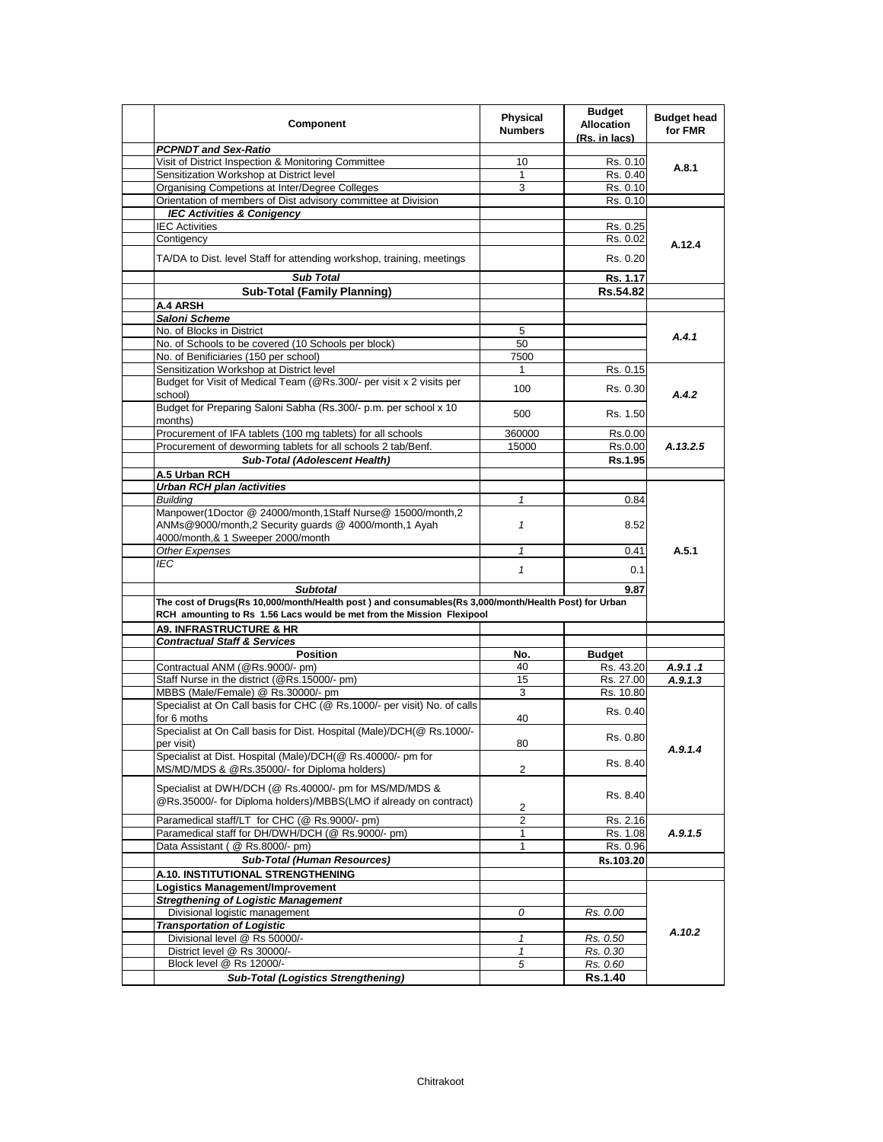| Component                                                                                                                   | <b>Physical</b><br><b>Numbers</b> | <b>Budget</b><br><b>Allocation</b><br>(Rs. in lacs) | <b>Budget head</b><br>for FMR |
|-----------------------------------------------------------------------------------------------------------------------------|-----------------------------------|-----------------------------------------------------|-------------------------------|
| <b>PCPNDT and Sex-Ratio</b>                                                                                                 |                                   |                                                     |                               |
| Visit of District Inspection & Monitoring Committee                                                                         | 10                                | Rs. 0.10                                            | A.8.1                         |
| Sensitization Workshop at District level                                                                                    | 1                                 | Rs. 0.40                                            |                               |
| Organising Competions at Inter/Degree Colleges                                                                              | 3                                 | Rs. 0.10                                            |                               |
| Orientation of members of Dist advisory committee at Division                                                               |                                   | Rs. 0.10                                            |                               |
| <b>IEC Activities &amp; Conigency</b>                                                                                       |                                   |                                                     |                               |
| <b>IEC Activities</b>                                                                                                       |                                   | Rs. 0.25                                            |                               |
| Contigency                                                                                                                  |                                   | Rs. 0.02                                            | A.12.4                        |
| TA/DA to Dist. level Staff for attending workshop, training, meetings                                                       |                                   | Rs. 0.20                                            |                               |
| <b>Sub Total</b>                                                                                                            |                                   | Rs. 1.17                                            |                               |
| <b>Sub-Total (Family Planning)</b>                                                                                          |                                   | Rs.54.82                                            |                               |
| A.4 ARSH                                                                                                                    |                                   |                                                     |                               |
| Saloni Scheme                                                                                                               |                                   |                                                     |                               |
| No. of Blocks in District                                                                                                   | 5                                 |                                                     | A.4.1                         |
| No. of Schools to be covered (10 Schools per block)                                                                         | 50                                |                                                     |                               |
| No. of Benificiaries (150 per school)                                                                                       | 7500                              |                                                     |                               |
| Sensitization Workshop at District level                                                                                    | $\mathbf{1}$                      | Rs. 0.15                                            |                               |
| Budget for Visit of Medical Team (@Rs.300/- per visit x 2 visits per<br>school)                                             | 100                               | Rs. 0.30                                            | A.4.2                         |
| Budget for Preparing Saloni Sabha (Rs.300/- p.m. per school x 10<br>months)                                                 | 500                               | Rs. 1.50                                            |                               |
| Procurement of IFA tablets (100 mg tablets) for all schools                                                                 | 360000                            | Rs.0.00                                             |                               |
| Procurement of deworming tablets for all schools 2 tab/Benf.                                                                | 15000                             | Rs.0.00                                             | A.13.2.5                      |
| Sub-Total (Adolescent Health)                                                                                               |                                   | Rs.1.95                                             |                               |
|                                                                                                                             |                                   |                                                     |                               |
| A.5 Urban RCH                                                                                                               |                                   |                                                     |                               |
| <b>Urban RCH plan /activities</b>                                                                                           |                                   |                                                     |                               |
| <b>Building</b>                                                                                                             | 1                                 | 0.84                                                |                               |
| Manpower(1Doctor @ 24000/month,1Staff Nurse@ 15000/month,2<br>ANMs@9000/month,2 Security guards @ 4000/month,1 Ayah         | $\mathbf{1}$                      | 8.52                                                |                               |
| 4000/month,& 1 Sweeper 2000/month                                                                                           |                                   |                                                     |                               |
| Other Expenses                                                                                                              | $\mathbf{1}$                      | 0.41                                                | A.5.1                         |
| <b>IEC</b>                                                                                                                  | $\mathbf{1}$                      | 0.1                                                 |                               |
| <b>Subtotal</b>                                                                                                             |                                   | 9.87                                                |                               |
| The cost of Drugs(Rs 10,000/month/Health post) and consumables(Rs 3,000/month/Health Post) for Urban                        |                                   |                                                     |                               |
| RCH amounting to Rs 1.56 Lacs would be met from the Mission Flexipool                                                       |                                   |                                                     |                               |
| <b>A9. INFRASTRUCTURE &amp; HR</b>                                                                                          |                                   |                                                     |                               |
| <b>Contractual Staff &amp; Services</b>                                                                                     |                                   |                                                     |                               |
| <b>Position</b>                                                                                                             | No.                               | <b>Budget</b>                                       |                               |
| Contractual ANM (@Rs.9000/- pm)                                                                                             | 40                                | Rs. 43.20                                           | A.9.1.1                       |
| Staff Nurse in the district (@Rs.15000/- pm)                                                                                | 15                                | Rs. 27.00                                           | A.9.1.3                       |
| MBBS (Male/Female) @ Rs.30000/- pm                                                                                          | 3                                 | Rs. 10.80                                           |                               |
| Specialist at On Call basis for CHC (@ Rs.1000/- per visit) No. of calls<br>for 6 moths                                     | 40                                | Rs. 0.40                                            |                               |
| Specialist at On Call basis for Dist. Hospital (Male)/DCH(@ Rs.1000/-<br>per visit)                                         | 80                                | Rs. 0.80                                            |                               |
| Specialist at Dist. Hospital (Male)/DCH(@ Rs.40000/- pm for<br>MS/MD/MDS & @Rs.35000/- for Diploma holders)                 | 2                                 | Rs. 8.40                                            | A.9.1.4                       |
| Specialist at DWH/DCH (@ Rs.40000/- pm for MS/MD/MDS &<br>@Rs.35000/- for Diploma holders)/MBBS(LMO if already on contract) |                                   | Rs. 8.40                                            |                               |
|                                                                                                                             | 2                                 |                                                     |                               |
| Paramedical staff/LT for CHC (@ Rs.9000/- pm)                                                                               | 2                                 | Rs. 2.16                                            |                               |
| Paramedical staff for DH/DWH/DCH (@ Rs.9000/- pm)                                                                           | 1                                 | Rs. 1.08                                            | A.9.1.5                       |
| Data Assistant ( @ Rs.8000/- pm)                                                                                            | 1                                 | Rs. 0.96                                            |                               |
| <b>Sub-Total (Human Resources)</b>                                                                                          |                                   | Rs.103.20                                           |                               |
| A.10. INSTITUTIONAL STRENGTHENING                                                                                           |                                   |                                                     |                               |
| Logistics Management/Improvement                                                                                            |                                   |                                                     |                               |
| <b>Stregthening of Logistic Management</b>                                                                                  |                                   |                                                     |                               |
| Divisional logistic management                                                                                              | 0                                 | Rs. 0.00                                            |                               |
| <b>Transportation of Logistic</b>                                                                                           |                                   |                                                     |                               |
| Divisional level @ Rs 50000/-                                                                                               | $\mathbf{1}$                      | Rs. 0.50                                            | A.10.2                        |
| District level @ Rs 30000/-                                                                                                 | 1                                 | Rs. 0.30                                            |                               |
| Block level @ Rs 12000/-                                                                                                    | 5                                 | Rs. 0.60                                            |                               |
| <b>Sub-Total (Logistics Strengthening)</b>                                                                                  |                                   | <b>Rs.1.40</b>                                      |                               |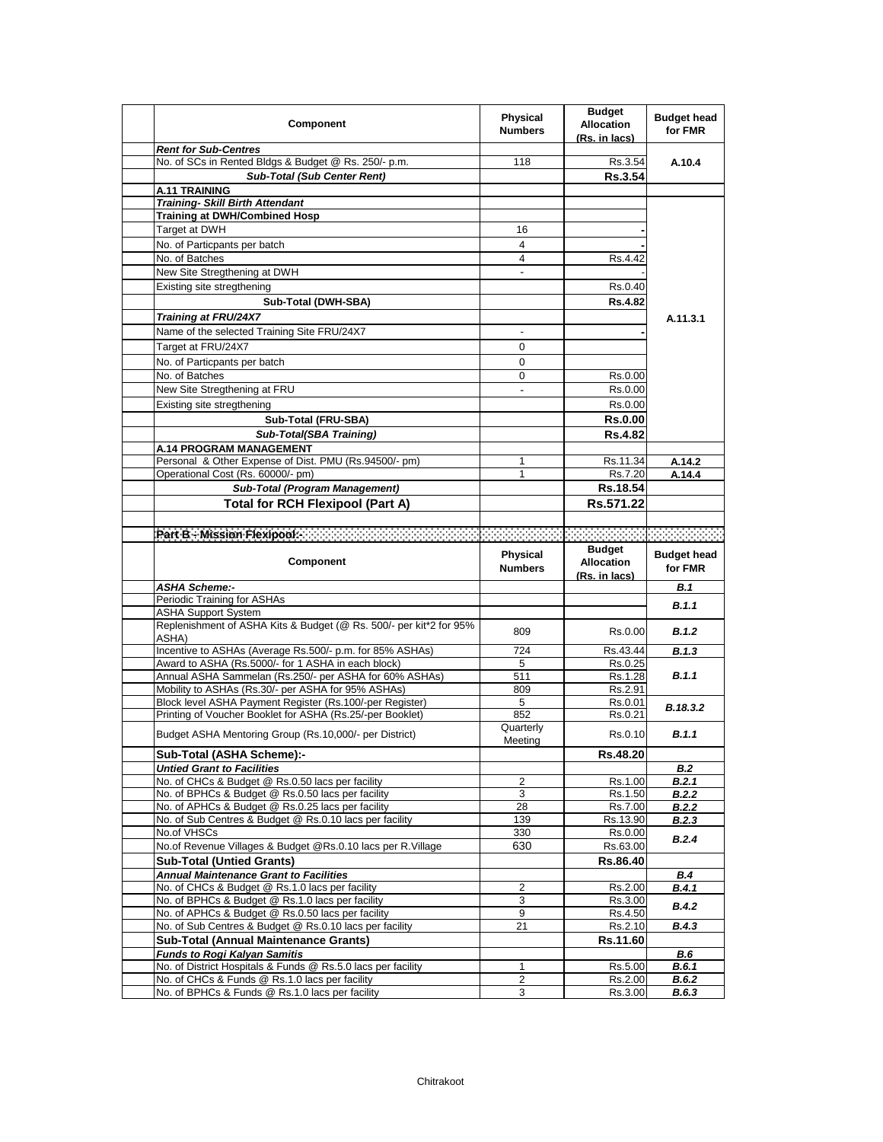| Component                                                                                                      | Physical<br><b>Numbers</b> | <b>Budget</b><br><b>Allocation</b><br>(Rs. in lacs) | <b>Budget head</b><br>for FMR |
|----------------------------------------------------------------------------------------------------------------|----------------------------|-----------------------------------------------------|-------------------------------|
| <b>Rent for Sub-Centres</b>                                                                                    |                            |                                                     |                               |
| No. of SCs in Rented Bldgs & Budget @ Rs. 250/- p.m.                                                           | 118                        | Rs.3.54                                             | A.10.4                        |
| <b>Sub-Total (Sub Center Rent)</b>                                                                             |                            | Rs.3.54                                             |                               |
| <b>A.11 TRAINING</b>                                                                                           |                            |                                                     |                               |
| <b>Training- Skill Birth Attendant</b>                                                                         |                            |                                                     |                               |
| <b>Training at DWH/Combined Hosp</b>                                                                           |                            |                                                     |                               |
| Target at DWH                                                                                                  | 16                         |                                                     |                               |
| No. of Particpants per batch                                                                                   | 4                          |                                                     |                               |
| No. of Batches                                                                                                 | 4                          | Rs.4.42                                             |                               |
| New Site Stregthening at DWH                                                                                   | $\blacksquare$             |                                                     |                               |
| Existing site stregthening                                                                                     |                            | Rs.0.40                                             |                               |
| Sub-Total (DWH-SBA)                                                                                            |                            | <b>Rs.4.82</b>                                      |                               |
| <b>Training at FRU/24X7</b>                                                                                    |                            |                                                     | A.11.3.1                      |
| Name of the selected Training Site FRU/24X7                                                                    | $\overline{\phantom{a}}$   |                                                     |                               |
| Target at FRU/24X7                                                                                             | 0                          |                                                     |                               |
| No. of Particpants per batch                                                                                   | $\mathbf 0$                |                                                     |                               |
| No. of Batches                                                                                                 | 0                          | Rs.0.00                                             |                               |
| New Site Stregthening at FRU                                                                                   | $\blacksquare$             | Rs.0.00                                             |                               |
| Existing site stregthening                                                                                     |                            | Rs.0.00                                             |                               |
|                                                                                                                |                            |                                                     |                               |
| Sub-Total (FRU-SBA)                                                                                            |                            | <b>Rs.0.00</b>                                      |                               |
| Sub-Total(SBA Training)                                                                                        |                            | <b>Rs.4.82</b>                                      |                               |
| A.14 PROGRAM MANAGEMENT                                                                                        |                            |                                                     |                               |
| Personal & Other Expense of Dist. PMU (Rs.94500/- pm)                                                          | 1                          | Rs.11.34                                            | A.14.2                        |
| Operational Cost (Rs. 60000/- pm)                                                                              | 1                          | Rs.7.20                                             | A.14.4                        |
| Sub-Total (Program Management)                                                                                 |                            | Rs.18.54                                            |                               |
| <b>Total for RCH Flexipool (Part A)</b>                                                                        |                            | Rs.571.22                                           |                               |
|                                                                                                                |                            |                                                     |                               |
| Part Bio Mission Pleanpoole and an annual and an annual and an annual and an annual and an annual and an an an |                            |                                                     |                               |
|                                                                                                                |                            | <b>Budget</b>                                       |                               |
| Component                                                                                                      | Physical                   |                                                     | <b>Budget head</b>            |
|                                                                                                                |                            | <b>Allocation</b>                                   |                               |
|                                                                                                                | <b>Numbers</b>             | (Rs. in lacs)                                       | for FMR                       |
| ASHA Scheme:-                                                                                                  |                            |                                                     | B.1                           |
| Periodic Training for ASHAs                                                                                    |                            |                                                     |                               |
| <b>ASHA Support System</b>                                                                                     |                            |                                                     | B.1.1                         |
| Replenishment of ASHA Kits & Budget (@ Rs. 500/- per kit*2 for 95%                                             | 809                        | Rs.0.00                                             | B.1.2                         |
| ASHA)                                                                                                          |                            |                                                     |                               |
| Incentive to ASHAs (Average Rs.500/- p.m. for 85% ASHAs)                                                       | 724                        | Rs.43.44                                            | B.1.3                         |
| Award to ASHA (Rs.5000/- for 1 ASHA in each block)                                                             | 5                          | Rs.0.25                                             |                               |
| Annual ASHA Sammelan (Rs.250/- per ASHA for 60% ASHAs)                                                         | 511                        | Rs.1.28                                             | B.1.1                         |
| Mobility to ASHAs (Rs.30/- per ASHA for 95% ASHAs)                                                             | 809                        | Rs.2.91                                             |                               |
| Block level ASHA Payment Register (Rs.100/-per Register)                                                       | 5                          | Rs.0.01                                             | B.18.3.2                      |
| Printing of Voucher Booklet for ASHA (Rs.25/-per Booklet)                                                      | 852                        | Rs.0.21                                             |                               |
| Budget ASHA Mentoring Group (Rs.10,000/- per District)                                                         | Quarterly                  | Rs.0.10                                             | B.1.1                         |
|                                                                                                                | Meeting                    |                                                     |                               |
| Sub-Total (ASHA Scheme):-                                                                                      |                            | <b>Rs.48.20</b>                                     |                               |
| <b>Untied Grant to Facilities</b>                                                                              |                            |                                                     | B.2                           |
| No. of CHCs & Budget @ Rs.0.50 lacs per facility                                                               | 2                          | Rs.1.00                                             | B.2.1                         |
| No. of BPHCs & Budget @ Rs.0.50 lacs per facility<br>No. of APHCs & Budget @ Rs.0.25 lacs per facility         | 3<br>28                    | Rs.1.50<br>Rs.7.00                                  | B.2.2<br>B.2.2                |
| No. of Sub Centres & Budget @ Rs.0.10 lacs per facility                                                        | 139                        | Rs.13.90                                            | B.2.3                         |
| No.of VHSCs                                                                                                    | 330                        | Rs.0.00                                             |                               |
| No.of Revenue Villages & Budget @Rs.0.10 lacs per R.Village                                                    | 630                        | Rs.63.00                                            | B.2.4                         |
|                                                                                                                |                            | Rs.86.40                                            |                               |
| <b>Sub-Total (Untied Grants)</b>                                                                               |                            |                                                     | B.4                           |
| <b>Annual Maintenance Grant to Facilities</b><br>No. of CHCs & Budget @ Rs.1.0 lacs per facility               | 2                          | Rs.2.00                                             | <b>B.4.1</b>                  |
| No. of BPHCs & Budget @ Rs.1.0 lacs per facility                                                               | 3                          | Rs.3.00                                             |                               |
| No. of APHCs & Budget @ Rs.0.50 lacs per facility                                                              | 9                          | Rs.4.50                                             | B.4.2                         |
| No. of Sub Centres & Budget @ Rs.0.10 lacs per facility                                                        | 21                         | Rs.2.10                                             | <b>B.4.3</b>                  |
| <b>Sub-Total (Annual Maintenance Grants)</b>                                                                   |                            | Rs.11.60                                            |                               |
| <b>Funds to Rogi Kalyan Samitis</b>                                                                            |                            |                                                     | <b>B.6</b>                    |
| No. of District Hospitals & Funds @ Rs.5.0 lacs per facility                                                   | $\mathbf{1}$               | Rs.5.00                                             | B.6.1                         |
| No. of CHCs & Funds @ Rs.1.0 lacs per facility<br>No. of BPHCs & Funds @ Rs.1.0 lacs per facility              | 2<br>3                     | Rs.2.00<br>Rs.3.00                                  | B.6.2<br>B.6.3                |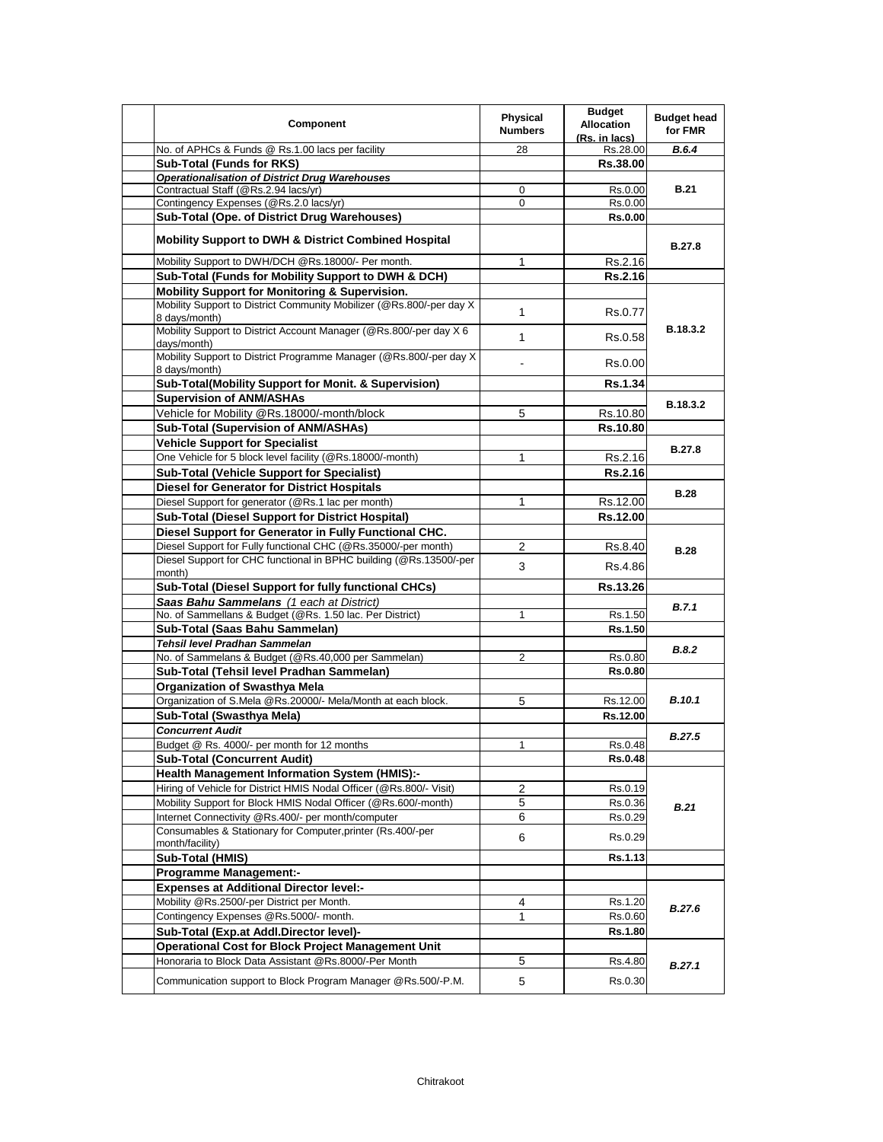| Component                                                                             | <b>Physical</b><br><b>Numbers</b> | <b>Budget</b><br><b>Allocation</b><br>(Rs. in lacs) | <b>Budget head</b><br>for FMR |
|---------------------------------------------------------------------------------------|-----------------------------------|-----------------------------------------------------|-------------------------------|
| No. of APHCs & Funds @ Rs.1.00 lacs per facility                                      | 28                                | Rs.28.00                                            | <b>B.6.4</b>                  |
| Sub-Total (Funds for RKS)                                                             |                                   | Rs.38.00                                            |                               |
| <b>Operationalisation of District Drug Warehouses</b>                                 |                                   |                                                     |                               |
| Contractual Staff (@Rs.2.94 lacs/yr)                                                  | 0                                 | Rs.0.00                                             | <b>B.21</b>                   |
| Contingency Expenses (@Rs.2.0 lacs/yr)                                                | 0                                 | Rs.0.00                                             |                               |
| Sub-Total (Ope. of District Drug Warehouses)                                          |                                   | <b>Rs.0.00</b>                                      |                               |
| <b>Mobility Support to DWH &amp; District Combined Hospital</b>                       |                                   |                                                     | <b>B.27.8</b>                 |
| Mobility Support to DWH/DCH @Rs.18000/- Per month.                                    | 1                                 | Rs.2.16                                             |                               |
| Sub-Total (Funds for Mobility Support to DWH & DCH)                                   |                                   | Rs.2.16                                             |                               |
| <b>Mobility Support for Monitoring &amp; Supervision.</b>                             |                                   |                                                     |                               |
| Mobility Support to District Community Mobilizer (@Rs.800/-per day X<br>8 days/month) | 1                                 | Rs.0.77                                             |                               |
| Mobility Support to District Account Manager (@Rs.800/-per day X 6<br>days/month)     | 1                                 | Rs.0.58                                             | B.18.3.2                      |
| Mobility Support to District Programme Manager (@Rs.800/-per day X)<br>8 days/month)  |                                   | Rs.0.00                                             |                               |
| Sub-Total(Mobility Support for Monit. & Supervision)                                  |                                   | <b>Rs.1.34</b>                                      |                               |
| <b>Supervision of ANM/ASHAs</b>                                                       |                                   |                                                     | B.18.3.2                      |
| Vehicle for Mobility @Rs.18000/-month/block                                           | 5                                 | Rs.10.80                                            |                               |
| Sub-Total (Supervision of ANM/ASHAs)                                                  |                                   | Rs.10.80                                            |                               |
| <b>Vehicle Support for Specialist</b>                                                 |                                   |                                                     |                               |
| One Vehicle for 5 block level facility (@Rs.18000/-month)                             | 1                                 | Rs.2.16                                             | <b>B.27.8</b>                 |
| <b>Sub-Total (Vehicle Support for Specialist)</b>                                     |                                   | <b>Rs.2.16</b>                                      |                               |
| <b>Diesel for Generator for District Hospitals</b>                                    |                                   |                                                     |                               |
| Diesel Support for generator (@Rs.1 lac per month)                                    | 1                                 | Rs.12.00                                            | <b>B.28</b>                   |
| <b>Sub-Total (Diesel Support for District Hospital)</b>                               |                                   | Rs.12.00                                            |                               |
| Diesel Support for Generator in Fully Functional CHC.                                 |                                   |                                                     |                               |
| Diesel Support for Fully functional CHC (@Rs.35000/-per month)                        | 2                                 | Rs.8.40                                             |                               |
| Diesel Support for CHC functional in BPHC building (@Rs.13500/-per                    |                                   |                                                     | <b>B.28</b>                   |
| month)                                                                                | 3                                 | Rs.4.86                                             |                               |
| Sub-Total (Diesel Support for fully functional CHCs)                                  |                                   | Rs.13.26                                            |                               |
| Saas Bahu Sammelans (1 each at District)                                              |                                   |                                                     | B.7.1                         |
| No. of Sammellans & Budget (@Rs. 1.50 lac. Per District)                              | 1                                 | Rs.1.50                                             |                               |
| Sub-Total (Saas Bahu Sammelan)                                                        |                                   | Rs.1.50                                             |                               |
| Tehsil level Pradhan Sammelan                                                         |                                   |                                                     | B.8.2                         |
| No. of Sammelans & Budget (@Rs.40,000 per Sammelan)                                   | 2                                 | Rs.0.80                                             |                               |
| Sub-Total (Tehsil level Pradhan Sammelan)                                             |                                   | <b>Rs.0.80</b>                                      |                               |
| <b>Organization of Swasthya Mela</b>                                                  |                                   |                                                     |                               |
| Organization of S.Mela @Rs.20000/- Mela/Month at each block.                          | 5                                 | Rs.12.00                                            | <b>B.10.1</b>                 |
| Sub-Total (Swasthya Mela)                                                             |                                   | Rs.12.00                                            |                               |
| <b>Concurrent Audit</b>                                                               |                                   |                                                     | <b>B.27.5</b>                 |
| Budget @ Rs. 4000/- per month for 12 months                                           | $\mathbf{1}$                      | Rs.0.48                                             |                               |
| <b>Sub-Total (Concurrent Audit)</b>                                                   |                                   | <b>Rs.0.48</b>                                      |                               |
| <b>Health Management Information System (HMIS):-</b>                                  |                                   |                                                     |                               |
| Hiring of Vehicle for District HMIS Nodal Officer (@Rs.800/- Visit)                   | 2                                 | Rs.0.19                                             |                               |
| Mobility Support for Block HMIS Nodal Officer (@Rs.600/-month)                        | 5                                 | Rs.0.36                                             | B.21                          |
| Internet Connectivity @Rs.400/- per month/computer                                    | 6                                 | Rs.0.29                                             |                               |
| Consumables & Stationary for Computer, printer (Rs.400/-per                           | 6                                 | Rs.0.29                                             |                               |
| month/facility)                                                                       |                                   |                                                     |                               |
| Sub-Total (HMIS)                                                                      |                                   | Rs.1.13                                             |                               |
| <b>Programme Management:-</b>                                                         |                                   |                                                     |                               |
| <b>Expenses at Additional Director level:-</b>                                        |                                   |                                                     |                               |
| Mobility @Rs.2500/-per District per Month.                                            | 4                                 | Rs.1.20                                             | B.27.6                        |
| Contingency Expenses @Rs.5000/- month.                                                | 1                                 | Rs.0.60                                             |                               |
| Sub-Total (Exp.at Addl.Director level)-                                               |                                   | <b>Rs.1.80</b>                                      |                               |
| <b>Operational Cost for Block Project Management Unit</b>                             |                                   |                                                     |                               |
| Honoraria to Block Data Assistant @Rs.8000/-Per Month                                 | 5                                 | Rs.4.80                                             | B.27.1                        |
| Communication support to Block Program Manager @Rs.500/-P.M.                          | 5                                 | Rs.0.30                                             |                               |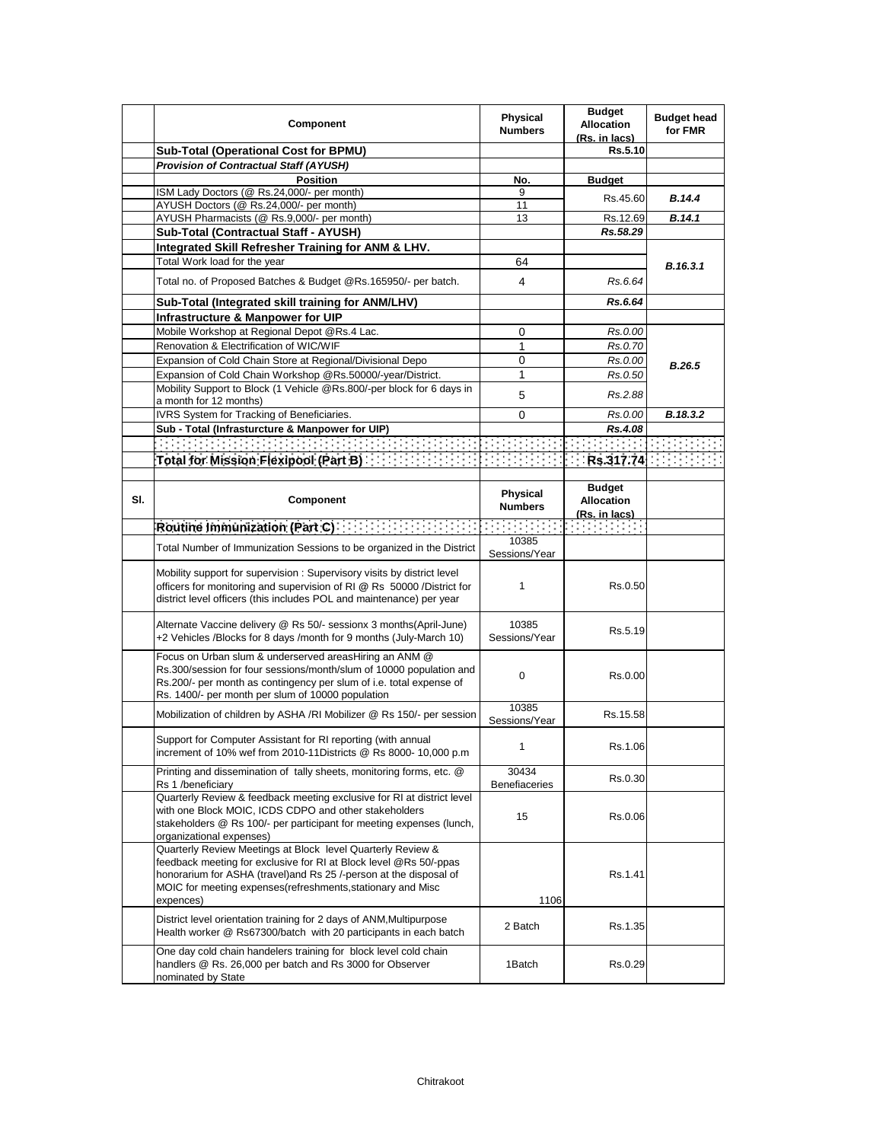|     | Component                                                                                                                                                                                                                                                                           | Physical<br><b>Numbers</b>                                                                                                          | <b>Budget</b><br><b>Allocation</b><br>(Rs. in lacs) | <b>Budget head</b><br>for FMR |
|-----|-------------------------------------------------------------------------------------------------------------------------------------------------------------------------------------------------------------------------------------------------------------------------------------|-------------------------------------------------------------------------------------------------------------------------------------|-----------------------------------------------------|-------------------------------|
|     | Sub-Total (Operational Cost for BPMU)                                                                                                                                                                                                                                               |                                                                                                                                     | Rs.5.10                                             |                               |
|     | <b>Provision of Contractual Staff (AYUSH)</b>                                                                                                                                                                                                                                       |                                                                                                                                     |                                                     |                               |
|     | <b>Position</b>                                                                                                                                                                                                                                                                     | No.                                                                                                                                 | <b>Budget</b>                                       |                               |
|     | ISM Lady Doctors (@ Rs.24,000/- per month)<br>AYUSH Doctors (@ Rs.24,000/- per month)                                                                                                                                                                                               | 9<br>11                                                                                                                             | Rs.45.60                                            | <b>B.14.4</b>                 |
|     | AYUSH Pharmacists (@ Rs.9,000/- per month)                                                                                                                                                                                                                                          | 13                                                                                                                                  | Rs.12.69                                            | B.14.1                        |
|     | Sub-Total (Contractual Staff - AYUSH)                                                                                                                                                                                                                                               |                                                                                                                                     | Rs.58.29                                            |                               |
|     | Integrated Skill Refresher Training for ANM & LHV.                                                                                                                                                                                                                                  |                                                                                                                                     |                                                     |                               |
|     | Total Work load for the year                                                                                                                                                                                                                                                        | 64                                                                                                                                  |                                                     | B.16.3.1                      |
|     | Total no. of Proposed Batches & Budget @Rs.165950/- per batch.                                                                                                                                                                                                                      | 4                                                                                                                                   | Rs.6.64                                             |                               |
|     | Sub-Total (Integrated skill training for ANM/LHV)                                                                                                                                                                                                                                   |                                                                                                                                     | Rs.6.64                                             |                               |
|     | Infrastructure & Manpower for UIP                                                                                                                                                                                                                                                   |                                                                                                                                     |                                                     |                               |
|     | Mobile Workshop at Regional Depot @Rs.4 Lac.                                                                                                                                                                                                                                        | 0                                                                                                                                   | Rs.0.00                                             |                               |
|     | Renovation & Electrification of WIC/WIF                                                                                                                                                                                                                                             | 1                                                                                                                                   | Rs.0.70                                             |                               |
|     | Expansion of Cold Chain Store at Regional/Divisional Depo                                                                                                                                                                                                                           | 0                                                                                                                                   | Rs.0.00                                             | B.26.5                        |
|     | Expansion of Cold Chain Workshop @Rs.50000/-year/District.                                                                                                                                                                                                                          | 1                                                                                                                                   | Rs.0.50                                             |                               |
|     | Mobility Support to Block (1 Vehicle @Rs.800/-per block for 6 days in<br>a month for 12 months)                                                                                                                                                                                     | 5                                                                                                                                   | Rs.2.88                                             |                               |
|     | IVRS System for Tracking of Beneficiaries.                                                                                                                                                                                                                                          | 0                                                                                                                                   | Rs.0.00                                             | B.18.3.2                      |
|     | Sub - Total (Infrasturcture & Manpower for UIP)                                                                                                                                                                                                                                     |                                                                                                                                     | Rs.4.08                                             |                               |
|     | <u> A PERSONAL PROPINSI PA</u>                                                                                                                                                                                                                                                      |                                                                                                                                     |                                                     |                               |
|     | Total for Mission Flexipool (Part B) [1999]                                                                                                                                                                                                                                         |                                                                                                                                     | Rs.317.74                                           |                               |
|     |                                                                                                                                                                                                                                                                                     |                                                                                                                                     |                                                     |                               |
| SI. | Component                                                                                                                                                                                                                                                                           | Physical<br><b>Numbers</b>                                                                                                          | <b>Budget</b><br><b>Allocation</b><br>(Rs. in lacs) |                               |
|     | Routine Immunization (Part C)                                                                                                                                                                                                                                                       | in Berlin (1999).<br>Sedan Salah Suatu Pada Suatu Pada Suatu Pada Suatu Pada Suatu Pada Suatu Pada Suatu Pada Suatu Pada Suatu Pada |                                                     |                               |
|     | Total Number of Immunization Sessions to be organized in the District                                                                                                                                                                                                               | 10385<br>Sessions/Year                                                                                                              |                                                     |                               |
|     | Mobility support for supervision: Supervisory visits by district level<br>officers for monitoring and supervision of RI @ Rs 50000 / District for<br>district level officers (this includes POL and maintenance) per year                                                           | 1                                                                                                                                   | Rs.0.50                                             |                               |
|     | Alternate Vaccine delivery @ Rs 50/- sessionx 3 months(April-June)<br>+2 Vehicles /Blocks for 8 days /month for 9 months (July-March 10)                                                                                                                                            | 10385<br>Sessions/Year                                                                                                              | Rs.5.19                                             |                               |
|     | Focus on Urban slum & underserved areasHiring an ANM @<br>Rs.300/session for four sessions/month/slum of 10000 population and<br>Rs.200/- per month as contingency per slum of i.e. total expense of<br>Rs. 1400/- per month per slum of 10000 population                           | 0                                                                                                                                   | Rs.0.00                                             |                               |
|     | Mobilization of children by ASHA /RI Mobilizer @ Rs 150/- per session                                                                                                                                                                                                               | 10385<br>Sessions/Year                                                                                                              | Rs.15.58                                            |                               |
|     | Support for Computer Assistant for RI reporting (with annual<br>increment of 10% wef from 2010-11Districts @ Rs 8000- 10,000 p.m                                                                                                                                                    | 1                                                                                                                                   | Rs.1.06                                             |                               |
|     | Printing and dissemination of tally sheets, monitoring forms, etc. @<br>Rs 1 /beneficiary                                                                                                                                                                                           | 30434<br>Benefiaceries                                                                                                              | Rs.0.30                                             |                               |
|     | Quarterly Review & feedback meeting exclusive for RI at district level<br>with one Block MOIC, ICDS CDPO and other stakeholders<br>stakeholders @ Rs 100/- per participant for meeting expenses (lunch,<br>organizational expenses)                                                 | 15                                                                                                                                  | Rs.0.06                                             |                               |
|     | Quarterly Review Meetings at Block level Quarterly Review &<br>feedback meeting for exclusive for RI at Block level @Rs 50/-ppas<br>honorarium for ASHA (travel) and Rs 25 /-person at the disposal of<br>MOIC for meeting expenses (refreshments, stationary and Misc<br>expences) | 1106                                                                                                                                | Rs.1.41                                             |                               |
|     | District level orientation training for 2 days of ANM, Multipurpose<br>Health worker @ Rs67300/batch with 20 participants in each batch                                                                                                                                             | 2 Batch                                                                                                                             | Rs.1.35                                             |                               |
|     | One day cold chain handelers training for block level cold chain<br>handlers @ Rs. 26,000 per batch and Rs 3000 for Observer<br>nominated by State                                                                                                                                  | 1Batch                                                                                                                              | Rs.0.29                                             |                               |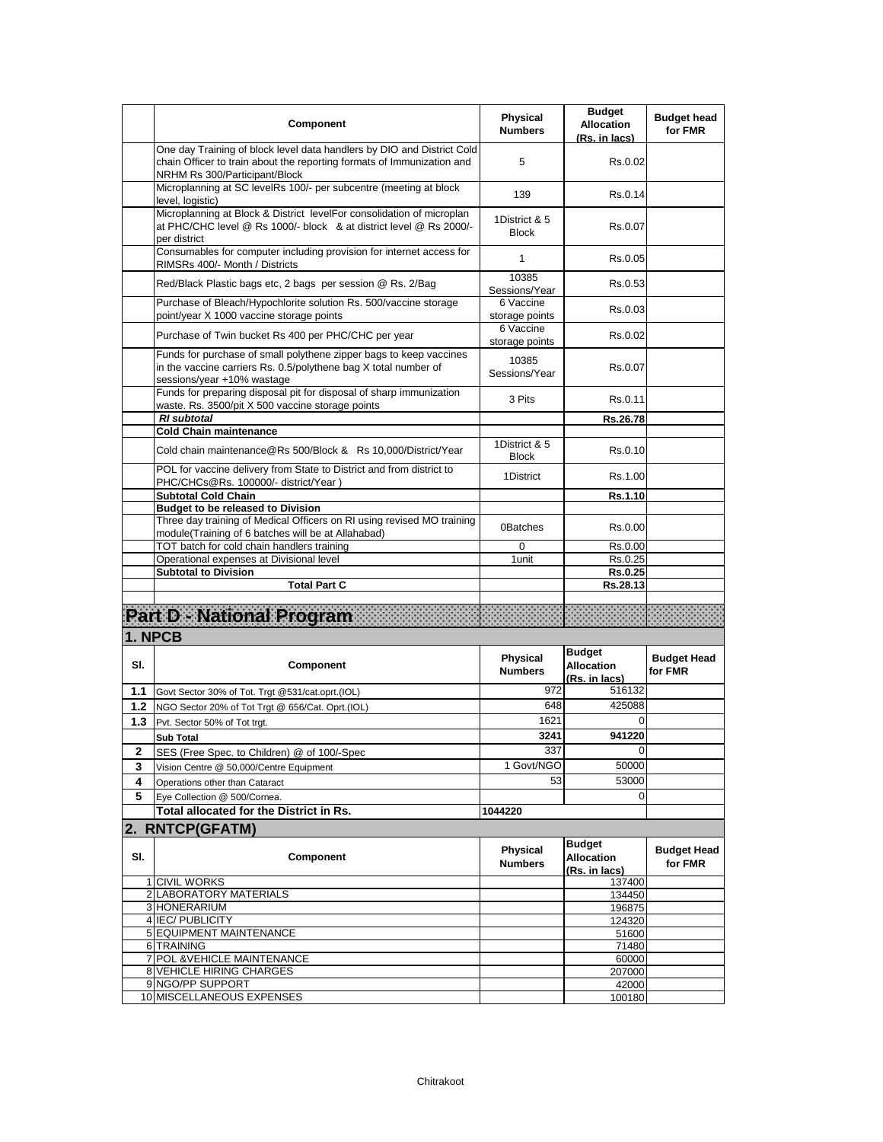|        | Component                                                                                                                                                                         | <b>Physical</b><br><b>Numbers</b> | <b>Budget</b><br><b>Allocation</b><br>(Rs. in lacs) | <b>Budget head</b><br>for FMR |
|--------|-----------------------------------------------------------------------------------------------------------------------------------------------------------------------------------|-----------------------------------|-----------------------------------------------------|-------------------------------|
|        | One day Training of block level data handlers by DIO and District Cold<br>chain Officer to train about the reporting formats of Immunization and<br>NRHM Rs 300/Participant/Block | 5                                 | Rs.0.02                                             |                               |
|        | Microplanning at SC levelRs 100/- per subcentre (meeting at block<br>level, logistic)                                                                                             | 139                               | Rs.0.14                                             |                               |
|        | Microplanning at Block & District levelFor consolidation of microplan<br>at PHC/CHC level @ Rs 1000/- block & at district level @ Rs 2000/-<br>per district                       | 1District & 5<br><b>Block</b>     | Rs.0.07                                             |                               |
|        | Consumables for computer including provision for internet access for<br>RIMSRs 400/- Month / Districts                                                                            | 1                                 | Rs.0.05                                             |                               |
|        | Red/Black Plastic bags etc, 2 bags per session @ Rs. 2/Bag                                                                                                                        | 10385<br>Sessions/Year            | Rs.0.53                                             |                               |
|        | Purchase of Bleach/Hypochlorite solution Rs. 500/vaccine storage<br>point/year X 1000 vaccine storage points                                                                      | 6 Vaccine<br>storage points       | Rs.0.03                                             |                               |
|        | Purchase of Twin bucket Rs 400 per PHC/CHC per year                                                                                                                               | 6 Vaccine<br>storage points       | Rs.0.02                                             |                               |
|        | Funds for purchase of small polythene zipper bags to keep vaccines<br>in the vaccine carriers Rs. 0.5/polythene bag X total number of<br>sessions/year +10% wastage               | 10385<br>Sessions/Year            | Rs.0.07                                             |                               |
|        | Funds for preparing disposal pit for disposal of sharp immunization<br>waste. Rs. 3500/pit X 500 vaccine storage points                                                           | 3 Pits                            | Rs.0.11                                             |                               |
|        | <b>RI</b> subtotal<br><b>Cold Chain maintenance</b>                                                                                                                               |                                   | Rs.26.78                                            |                               |
|        | Cold chain maintenance@Rs 500/Block & Rs 10,000/District/Year                                                                                                                     | 1District & 5<br><b>Block</b>     | Rs.0.10                                             |                               |
|        | POL for vaccine delivery from State to District and from district to<br>PHC/CHCs@Rs. 100000/- district/Year)                                                                      | 1District                         | Rs.1.00                                             |                               |
|        | <b>Subtotal Cold Chain</b>                                                                                                                                                        |                                   | Rs.1.10                                             |                               |
|        | <b>Budget to be released to Division</b><br>Three day training of Medical Officers on RI using revised MO training<br>module(Training of 6 batches will be at Allahabad)          | 0Batches                          | Rs.0.00                                             |                               |
|        | TOT batch for cold chain handlers training                                                                                                                                        | $\mathbf 0$                       | Rs.0.00                                             |                               |
|        | Operational expenses at Divisional level                                                                                                                                          | 1 unit                            | Rs.0.25                                             |                               |
|        | <b>Subtotal to Division</b><br><b>Total Part C</b>                                                                                                                                |                                   | Rs.0.25<br>Rs.28.13                                 |                               |
|        |                                                                                                                                                                                   |                                   |                                                     |                               |
|        | <b>Part D - National Program</b>                                                                                                                                                  |                                   |                                                     |                               |
|        | 1. NPCB                                                                                                                                                                           |                                   |                                                     |                               |
| SI.    | Component                                                                                                                                                                         | Physical<br><b>Numbers</b>        | <b>Budget</b><br><b>Allocation</b><br>(Rs. in lacs) | <b>Budget Head</b><br>for FMR |
| 1.1    | Govt Sector 30% of Tot. Trgt @531/cat.oprt.(IOL)                                                                                                                                  | 972                               | 516132                                              |                               |
| 1.2    | NGO Sector 20% of Tot Trgt @ 656/Cat. Oprt.(IOL)                                                                                                                                  | 648                               | 425088                                              |                               |
| 1.3    | Pvt. Sector 50% of Tot trgt.                                                                                                                                                      | 1621                              | 0                                                   |                               |
|        | <b>Sub Total</b>                                                                                                                                                                  | 3241<br>337                       | 941220                                              |                               |
| 2<br>3 | SES (Free Spec. to Children) @ of 100/-Spec<br>Vision Centre @ 50,000/Centre Equipment                                                                                            | 1 Govt/NGO                        | 50000                                               |                               |
| 4      | Operations other than Cataract                                                                                                                                                    | 53                                | 53000                                               |                               |
| 5      | Eye Collection @ 500/Cornea.                                                                                                                                                      |                                   | 0                                                   |                               |
|        | Total allocated for the District in Rs.                                                                                                                                           | 1044220                           |                                                     |                               |
|        | 2. RNTCP(GFATM)                                                                                                                                                                   |                                   |                                                     |                               |
|        |                                                                                                                                                                                   |                                   | <b>Budget</b>                                       |                               |
| SI.    | Component                                                                                                                                                                         | <b>Physical</b><br><b>Numbers</b> | <b>Allocation</b><br>(Rs. in lacs)                  | <b>Budget Head</b><br>for FMR |
|        | 1 CIVIL WORKS                                                                                                                                                                     |                                   | 137400                                              |                               |
|        | 2 LABORATORY MATERIALS<br>3 HONERARIUM                                                                                                                                            |                                   | 134450<br>196875                                    |                               |
|        | 4 IEC/ PUBLICITY                                                                                                                                                                  |                                   | 124320                                              |                               |
|        | <b>5 EQUIPMENT MAINTENANCE</b>                                                                                                                                                    |                                   | 51600                                               |                               |
|        | 6 TRAINING                                                                                                                                                                        |                                   | 71480                                               |                               |
|        | 7 POL & VEHICLE MAINTENANCE                                                                                                                                                       |                                   | 60000                                               |                               |
|        | 8 VEHICLE HIRING CHARGES<br>9 NGO/PP SUPPORT                                                                                                                                      |                                   | 207000                                              |                               |
|        | 10 MISCELLANEOUS EXPENSES                                                                                                                                                         |                                   | 42000<br>100180                                     |                               |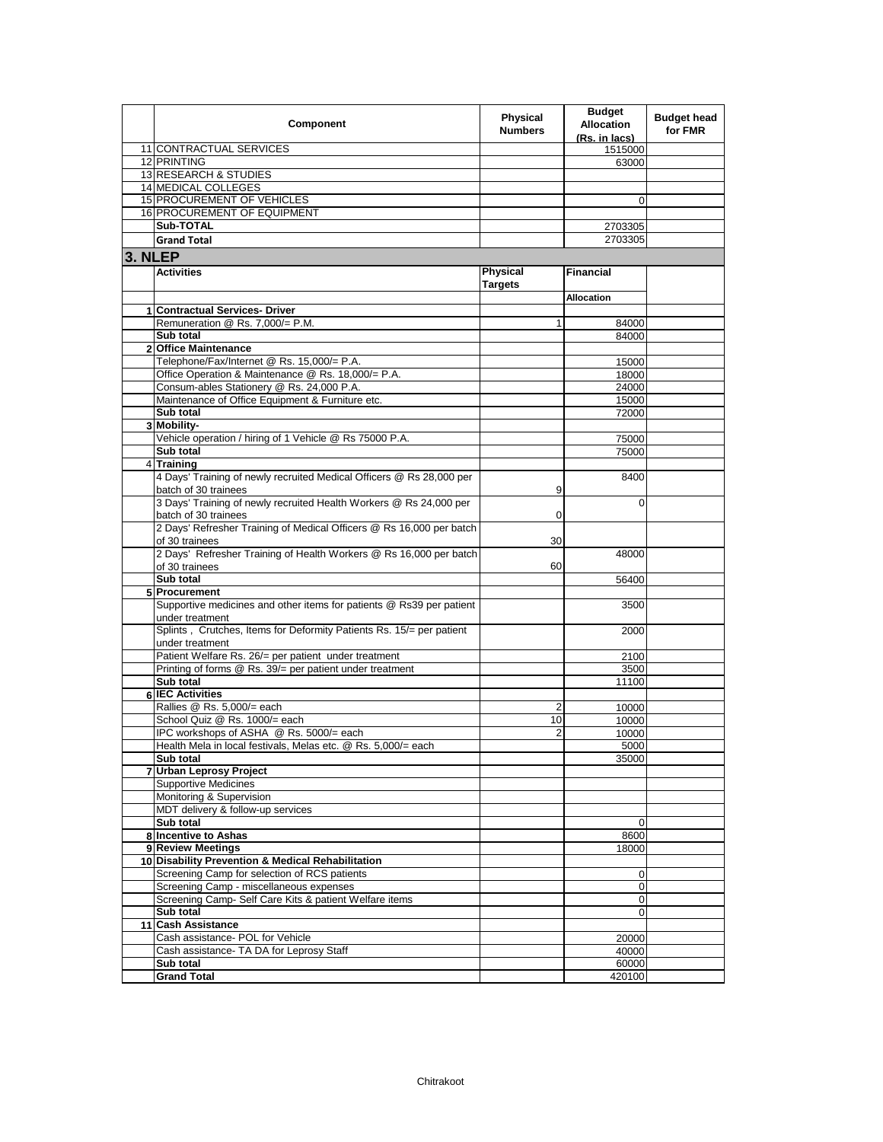|         | Component                                                              | Physical<br><b>Numbers</b> | <b>Budget</b><br><b>Allocation</b><br>(Rs. in lacs) | <b>Budget head</b><br>for FMR |
|---------|------------------------------------------------------------------------|----------------------------|-----------------------------------------------------|-------------------------------|
|         | 11 CONTRACTUAL SERVICES                                                |                            | 1515000                                             |                               |
|         | 12 PRINTING                                                            |                            | 63000                                               |                               |
|         | 13 RESEARCH & STUDIES                                                  |                            |                                                     |                               |
|         | 14 MEDICAL COLLEGES                                                    |                            |                                                     |                               |
|         | 15 PROCUREMENT OF VEHICLES                                             |                            | 0                                                   |                               |
|         | 16 PROCUREMENT OF EQUIPMENT                                            |                            |                                                     |                               |
|         | Sub-TOTAL                                                              |                            | 2703305                                             |                               |
|         | <b>Grand Total</b>                                                     |                            | 2703305                                             |                               |
|         |                                                                        |                            |                                                     |                               |
| 3. NLEP |                                                                        |                            |                                                     |                               |
|         | <b>Activities</b>                                                      | <b>Physical</b>            | <b>Financial</b>                                    |                               |
|         |                                                                        | Targets                    |                                                     |                               |
|         |                                                                        |                            | Allocation                                          |                               |
| 1       | <b>Contractual Services- Driver</b>                                    |                            |                                                     |                               |
|         | Remuneration @ Rs. 7,000/= P.M.                                        | $\mathbf{1}$               | 84000                                               |                               |
|         | Sub total                                                              |                            | 84000                                               |                               |
|         | 2 Office Maintenance                                                   |                            |                                                     |                               |
|         | Telephone/Fax/Internet @ Rs. 15,000/= P.A.                             |                            | 15000                                               |                               |
|         | Office Operation & Maintenance @ Rs. 18,000/= P.A.                     |                            | 18000                                               |                               |
|         | Consum-ables Stationery @ Rs. 24,000 P.A.                              |                            | 24000                                               |                               |
|         | Maintenance of Office Equipment & Furniture etc.                       |                            | 15000                                               |                               |
|         | Sub total                                                              |                            | 72000                                               |                               |
|         | 3 Mobility-                                                            |                            |                                                     |                               |
|         | Vehicle operation / hiring of 1 Vehicle @ Rs 75000 P.A.                |                            | 75000                                               |                               |
|         | Sub total                                                              |                            | 75000                                               |                               |
|         | 4 Training                                                             |                            |                                                     |                               |
|         | 4 Days' Training of newly recruited Medical Officers @ Rs 28,000 per   |                            | 8400                                                |                               |
|         | batch of 30 trainees                                                   | 9                          |                                                     |                               |
|         | 3 Days' Training of newly recruited Health Workers @ Rs 24,000 per     |                            | $\Omega$                                            |                               |
|         | batch of 30 trainees                                                   | 0                          |                                                     |                               |
|         | 2 Days' Refresher Training of Medical Officers @ Rs 16,000 per batch   |                            |                                                     |                               |
|         | of 30 trainees                                                         | 30                         |                                                     |                               |
|         | 2 Days' Refresher Training of Health Workers @ Rs 16,000 per batch     |                            | 48000                                               |                               |
|         | of 30 trainees                                                         | 60                         |                                                     |                               |
|         | Sub total                                                              |                            | 56400                                               |                               |
|         | 5 Procurement                                                          |                            |                                                     |                               |
|         | Supportive medicines and other items for patients @ Rs39 per patient   |                            | 3500                                                |                               |
|         | under treatment                                                        |                            |                                                     |                               |
|         | Splints, Crutches, Items for Deformity Patients Rs. 15/= per patient   |                            | 2000                                                |                               |
|         | under treatment                                                        |                            |                                                     |                               |
|         | Patient Welfare Rs. 26/= per patient under treatment                   |                            | 2100                                                |                               |
|         | Printing of forms @ Rs. 39/= per patient under treatment               |                            | 3500                                                |                               |
|         | Sub total                                                              |                            | 11100                                               |                               |
|         | 6 IEC Activities                                                       |                            |                                                     |                               |
|         | Rallies @ Rs. 5,000/= each                                             | 2                          |                                                     |                               |
|         | School Quiz @ Rs. 1000/= each                                          | 10                         | 10000<br>10000                                      |                               |
|         | IPC workshops of ASHA @ Rs. 5000/= each                                | $\overline{2}$             | 10000                                               |                               |
|         | Health Mela in local festivals, Melas etc. @ Rs. 5,000/= each          |                            | 5000                                                |                               |
|         | Sub total                                                              |                            |                                                     |                               |
|         | 7 Urban Leprosy Project                                                |                            | 35000                                               |                               |
|         | <b>Supportive Medicines</b>                                            |                            |                                                     |                               |
|         |                                                                        |                            |                                                     |                               |
|         | Monitoring & Supervision<br>MDT delivery & follow-up services          |                            |                                                     |                               |
|         |                                                                        |                            |                                                     |                               |
|         | Sub total                                                              |                            | 0                                                   |                               |
|         | 8 Incentive to Ashas                                                   |                            | 8600                                                |                               |
|         | 9 Review Meetings<br>10 Disability Prevention & Medical Rehabilitation |                            | 18000                                               |                               |
|         |                                                                        |                            |                                                     |                               |
|         | Screening Camp for selection of RCS patients                           |                            | 0                                                   |                               |
|         | Screening Camp - miscellaneous expenses                                |                            | 0                                                   |                               |
|         | Screening Camp- Self Care Kits & patient Welfare items                 |                            | 0                                                   |                               |
|         | Sub total                                                              |                            | 0                                                   |                               |
|         | 11 Cash Assistance                                                     |                            |                                                     |                               |
|         | Cash assistance- POL for Vehicle                                       |                            | 20000                                               |                               |
|         | Cash assistance- TA DA for Leprosy Staff                               |                            | 40000                                               |                               |
|         | Sub total                                                              |                            | 60000                                               |                               |
|         | <b>Grand Total</b>                                                     |                            | 420100                                              |                               |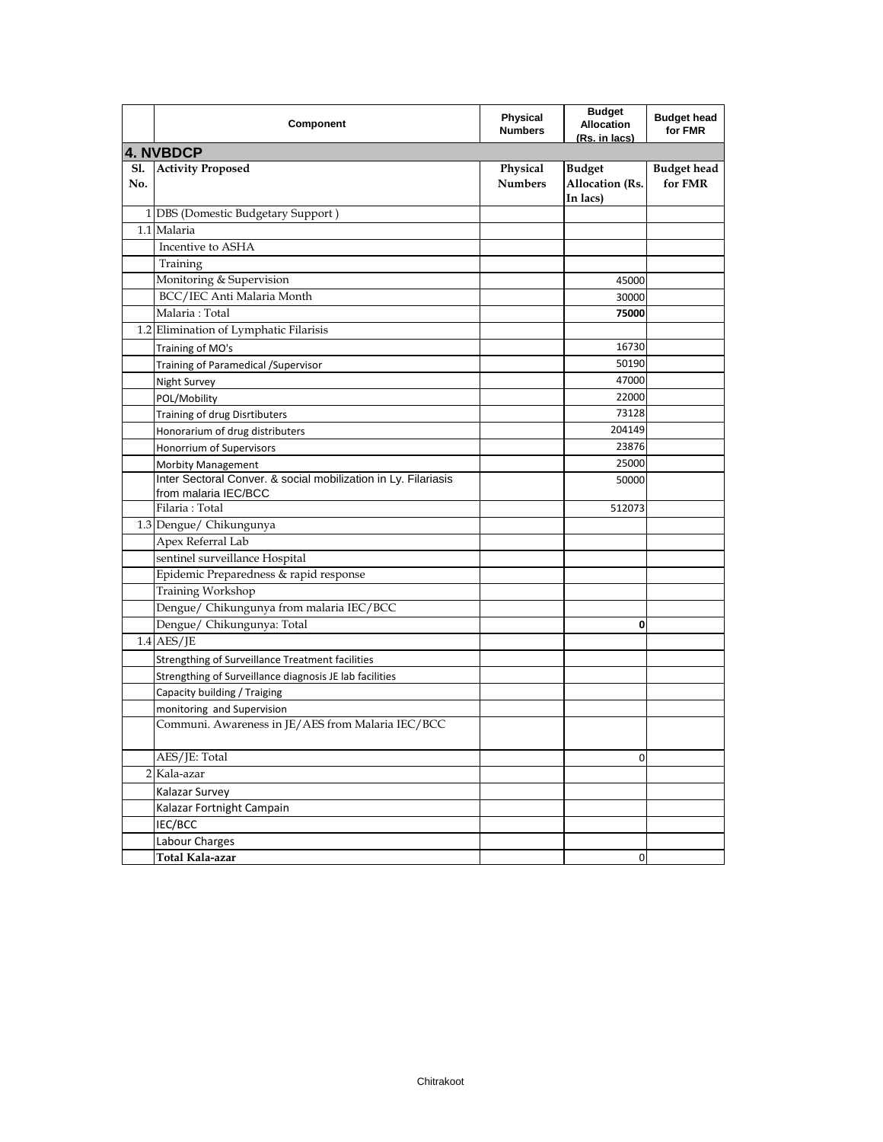|            | Component                                                                                                   | <b>Physical</b><br><b>Numbers</b> | <b>Budget</b><br><b>Allocation</b><br>(Rs. in lacs) | <b>Budget head</b><br>for FMR |
|------------|-------------------------------------------------------------------------------------------------------------|-----------------------------------|-----------------------------------------------------|-------------------------------|
|            | <b>4. NVBDCP</b>                                                                                            |                                   |                                                     |                               |
| S1.<br>No. | <b>Activity Proposed</b>                                                                                    | Physical<br><b>Numbers</b>        | <b>Budget</b><br><b>Allocation</b> (Rs.<br>In lacs) | <b>Budget head</b><br>for FMR |
|            | 1 DBS (Domestic Budgetary Support)                                                                          |                                   |                                                     |                               |
|            | 1.1 Malaria                                                                                                 |                                   |                                                     |                               |
|            | Incentive to ASHA                                                                                           |                                   |                                                     |                               |
|            | Training                                                                                                    |                                   |                                                     |                               |
|            | Monitoring & Supervision                                                                                    |                                   | 45000                                               |                               |
|            | BCC/IEC Anti Malaria Month                                                                                  |                                   | 30000                                               |                               |
|            | Malaria: Total                                                                                              |                                   | 75000                                               |                               |
|            | 1.2 Elimination of Lymphatic Filarisis                                                                      |                                   |                                                     |                               |
|            | Training of MO's                                                                                            |                                   | 16730                                               |                               |
|            | Training of Paramedical /Supervisor                                                                         |                                   | 50190                                               |                               |
|            | <b>Night Survey</b>                                                                                         |                                   | 47000                                               |                               |
|            | POL/Mobility                                                                                                |                                   | 22000                                               |                               |
|            | Training of drug Disrtibuters                                                                               |                                   | 73128                                               |                               |
|            | Honorarium of drug distributers                                                                             |                                   | 204149                                              |                               |
|            | Honorrium of Supervisors                                                                                    |                                   | 23876                                               |                               |
|            | <b>Morbity Management</b>                                                                                   |                                   | 25000                                               |                               |
|            | Inter Sectoral Conver. & social mobilization in Ly. Filariasis<br>from malaria IEC/BCC                      |                                   | 50000                                               |                               |
|            | Filaria: Total                                                                                              |                                   | 512073                                              |                               |
|            | 1.3 Dengue/ Chikungunya                                                                                     |                                   |                                                     |                               |
|            | Apex Referral Lab                                                                                           |                                   |                                                     |                               |
|            | sentinel surveillance Hospital                                                                              |                                   |                                                     |                               |
|            | Epidemic Preparedness & rapid response                                                                      |                                   |                                                     |                               |
|            | Training Workshop                                                                                           |                                   |                                                     |                               |
|            | Dengue/ Chikungunya from malaria IEC/BCC                                                                    |                                   |                                                     |                               |
|            | Dengue/ Chikungunya: Total                                                                                  |                                   | 0                                                   |                               |
|            | $1.4$ AES/JE                                                                                                |                                   |                                                     |                               |
|            |                                                                                                             |                                   |                                                     |                               |
|            | Strengthing of Surveillance Treatment facilities<br>Strengthing of Surveillance diagnosis JE lab facilities |                                   |                                                     |                               |
|            |                                                                                                             |                                   |                                                     |                               |
|            | Capacity building / Traiging<br>monitoring and Supervision                                                  |                                   |                                                     |                               |
|            | Communi. Awareness in JE/AES from Malaria IEC/BCC                                                           |                                   |                                                     |                               |
|            | AES/JE: Total                                                                                               |                                   | $\mathbf 0$                                         |                               |
|            | 2 Kala-azar                                                                                                 |                                   |                                                     |                               |
|            | Kalazar Survey                                                                                              |                                   |                                                     |                               |
|            | Kalazar Fortnight Campain                                                                                   |                                   |                                                     |                               |
|            | IEC/BCC                                                                                                     |                                   |                                                     |                               |
|            | Labour Charges                                                                                              |                                   |                                                     |                               |
|            | Total Kala-azar                                                                                             |                                   | 0                                                   |                               |